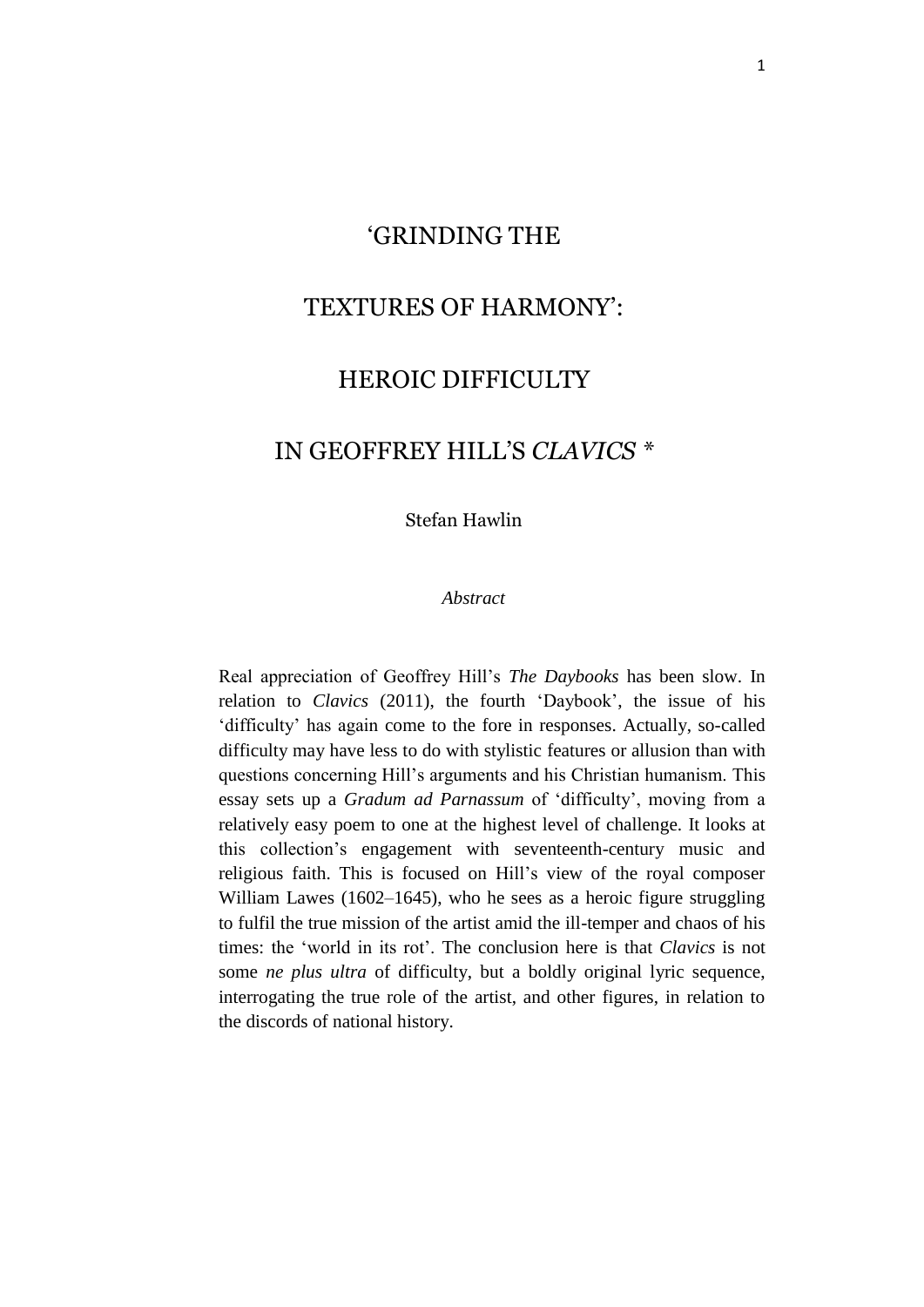## 'GRINDING THE

# TEXTURES OF HARMONY':

## HEROIC DIFFICULTY

## IN GEOFFREY HILL'S *CLAVICS \**

Stefan Hawlin

#### *Abstract*

Real appreciation of Geoffrey Hill's *The Daybooks* has been slow. In relation to *Clavics* (2011), the fourth 'Daybook', the issue of his 'difficulty' has again come to the fore in responses. Actually, so-called difficulty may have less to do with stylistic features or allusion than with questions concerning Hill's arguments and his Christian humanism. This essay sets up a *Gradum ad Parnassum* of 'difficulty', moving from a relatively easy poem to one at the highest level of challenge. It looks at this collection's engagement with seventeenth-century music and religious faith. This is focused on Hill's view of the royal composer William Lawes (1602–1645), who he sees as a heroic figure struggling to fulfil the true mission of the artist amid the ill-temper and chaos of his times: the 'world in its rot'. The conclusion here is that *Clavics* is not some *ne plus ultra* of difficulty, but a boldly original lyric sequence, interrogating the true role of the artist, and other figures, in relation to the discords of national history.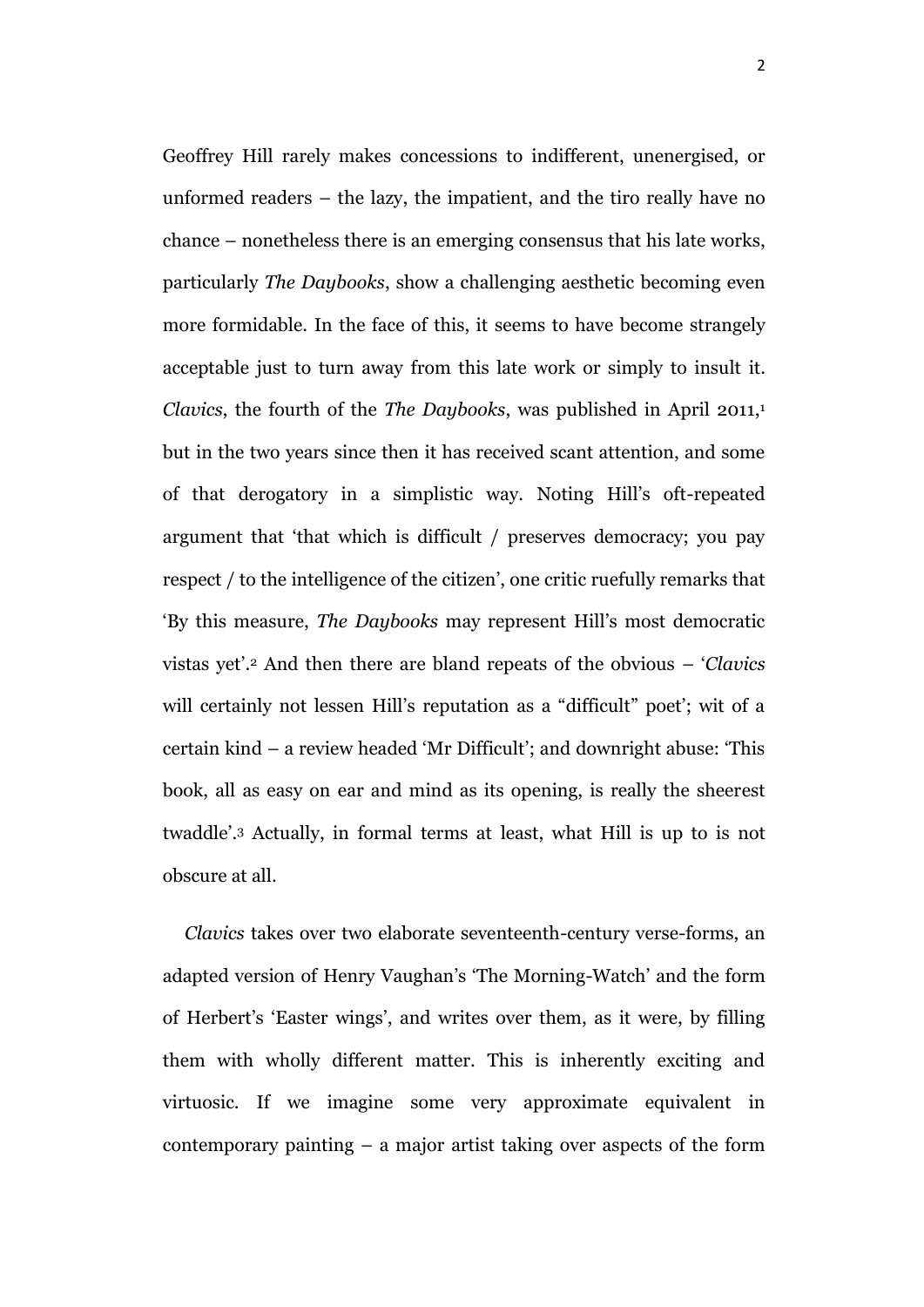Geoffrey Hill rarely makes concessions to indifferent, unenergised, or unformed readers – the lazy, the impatient, and the tiro really have no chance – nonetheless there is an emerging consensus that his late works, particularly *The Daybooks*, show a challenging aesthetic becoming even more formidable. In the face of this, it seems to have become strangely acceptable just to turn away from this late work or simply to insult it. *Clavics*, the fourth of the *The Daybooks*, was published in April 2011,<sup>1</sup> but in the two years since then it has received scant attention, and some of that derogatory in a simplistic way. Noting Hill's oft-repeated argument that 'that which is difficult / preserves democracy; you pay respect / to the intelligence of the citizen', one critic ruefully remarks that 'By this measure, *The Daybooks* may represent Hill's most democratic vistas yet'.<sup>2</sup> And then there are bland repeats of the obvious – '*Clavics*  will certainly not lessen Hill's reputation as a "difficult" poet'; wit of a certain kind – a review headed 'Mr Difficult'; and downright abuse: 'This book, all as easy on ear and mind as its opening, is really the sheerest twaddle'.<sup>3</sup> Actually, in formal terms at least, what Hill is up to is not obscure at all.

*Clavics* takes over two elaborate seventeenth-century verse-forms, an adapted version of Henry Vaughan's 'The Morning-Watch' and the form of Herbert's 'Easter wings', and writes over them, as it were, by filling them with wholly different matter. This is inherently exciting and virtuosic. If we imagine some very approximate equivalent in contemporary painting – a major artist taking over aspects of the form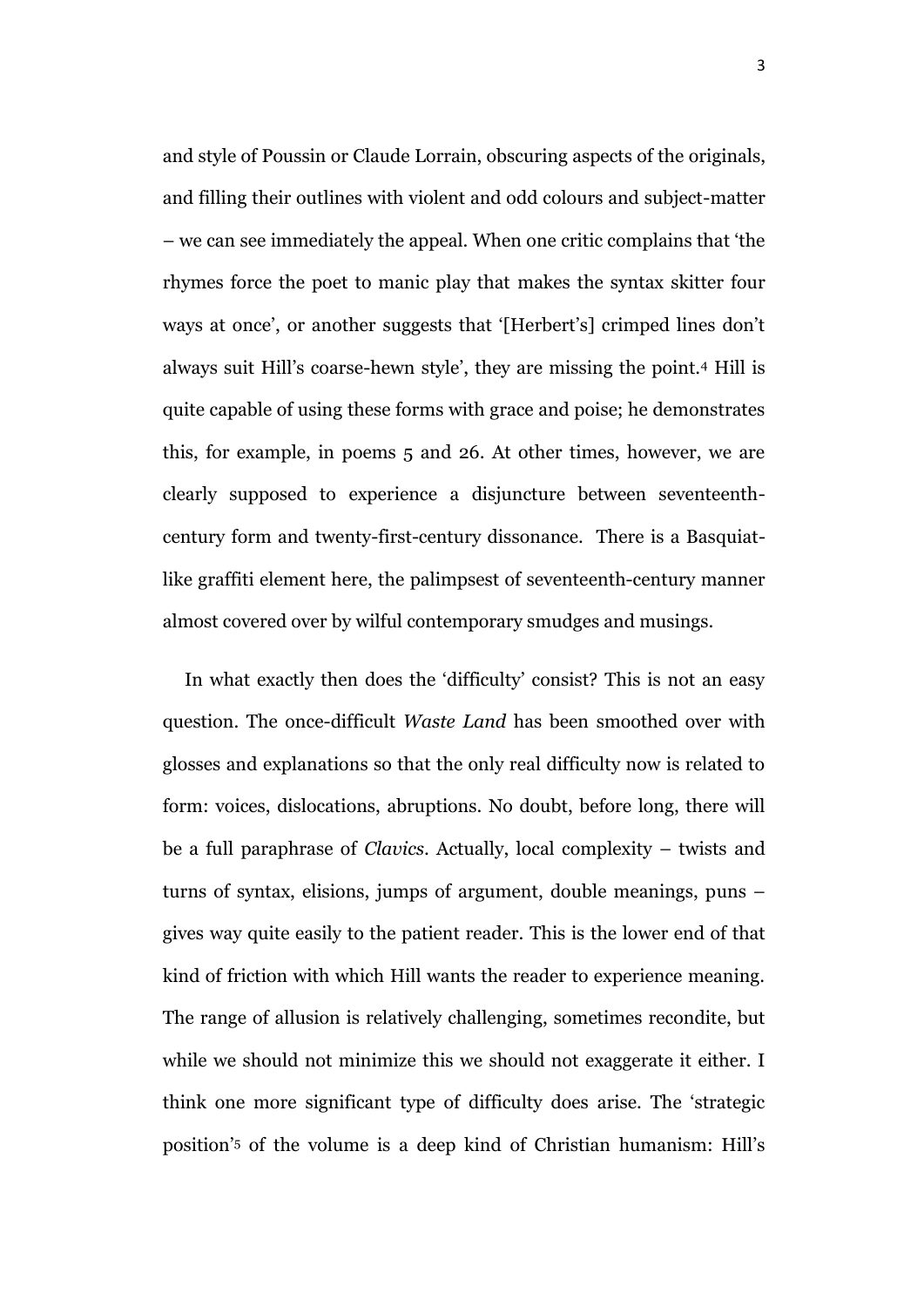and style of Poussin or Claude Lorrain, obscuring aspects of the originals, and filling their outlines with violent and odd colours and subject-matter – we can see immediately the appeal. When one critic complains that 'the rhymes force the poet to manic play that makes the syntax skitter four ways at once', or another suggests that '[Herbert's] crimped lines don't always suit Hill's coarse-hewn style', they are missing the point.<sup>4</sup> Hill is quite capable of using these forms with grace and poise; he demonstrates this, for example, in poems 5 and 26. At other times, however, we are clearly supposed to experience a disjuncture between seventeenthcentury form and twenty-first-century dissonance. There is a Basquiatlike graffiti element here, the palimpsest of seventeenth-century manner almost covered over by wilful contemporary smudges and musings.

In what exactly then does the 'difficulty' consist? This is not an easy question. The once-difficult *Waste Land* has been smoothed over with glosses and explanations so that the only real difficulty now is related to form: voices, dislocations, abruptions. No doubt, before long, there will be a full paraphrase of *Clavics*. Actually, local complexity – twists and turns of syntax, elisions, jumps of argument, double meanings, puns – gives way quite easily to the patient reader. This is the lower end of that kind of friction with which Hill wants the reader to experience meaning. The range of allusion is relatively challenging, sometimes recondite, but while we should not minimize this we should not exaggerate it either. I think one more significant type of difficulty does arise. The 'strategic position'<sup>5</sup> of the volume is a deep kind of Christian humanism: Hill's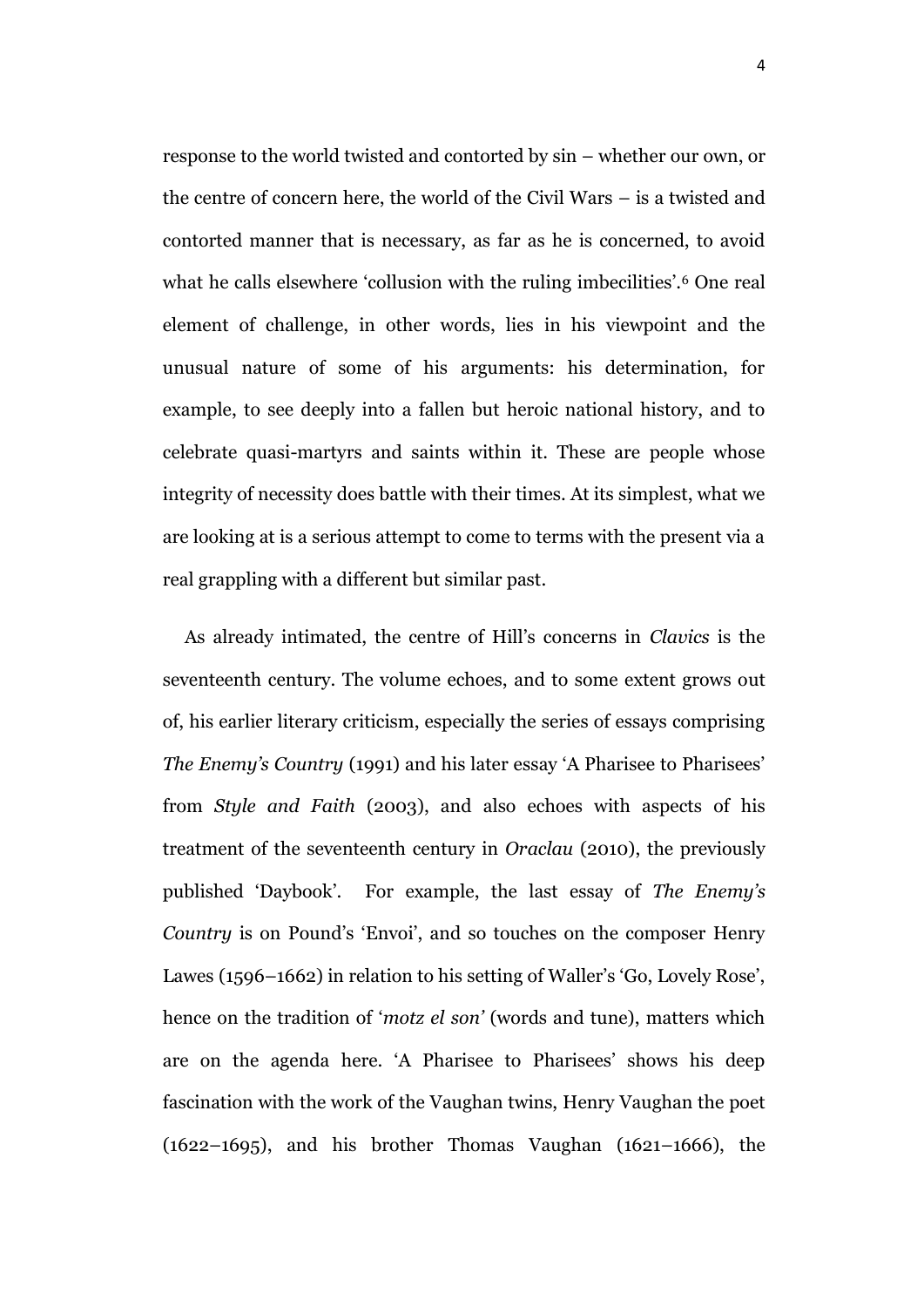response to the world twisted and contorted by sin – whether our own, or the centre of concern here, the world of the Civil Wars – is a twisted and contorted manner that is necessary, as far as he is concerned, to avoid what he calls elsewhere 'collusion with the ruling imbecilities'.<sup>6</sup> One real element of challenge, in other words, lies in his viewpoint and the unusual nature of some of his arguments: his determination, for example, to see deeply into a fallen but heroic national history, and to celebrate quasi-martyrs and saints within it. These are people whose integrity of necessity does battle with their times. At its simplest, what we are looking at is a serious attempt to come to terms with the present via a real grappling with a different but similar past.

As already intimated, the centre of Hill's concerns in *Clavics* is the seventeenth century. The volume echoes, and to some extent grows out of, his earlier literary criticism, especially the series of essays comprising *The Enemy's Country* (1991) and his later essay 'A Pharisee to Pharisees' from *Style and Faith* (2003), and also echoes with aspects of his treatment of the seventeenth century in *Oraclau* (2010), the previously published 'Daybook'. For example, the last essay of *The Enemy's Country* is on Pound's 'Envoi', and so touches on the composer Henry Lawes (1596–1662) in relation to his setting of Waller's 'Go, Lovely Rose', hence on the tradition of '*motz el son'* (words and tune), matters which are on the agenda here. 'A Pharisee to Pharisees' shows his deep fascination with the work of the Vaughan twins, Henry Vaughan the poet (1622–1695), and his brother Thomas Vaughan (1621–1666), the

4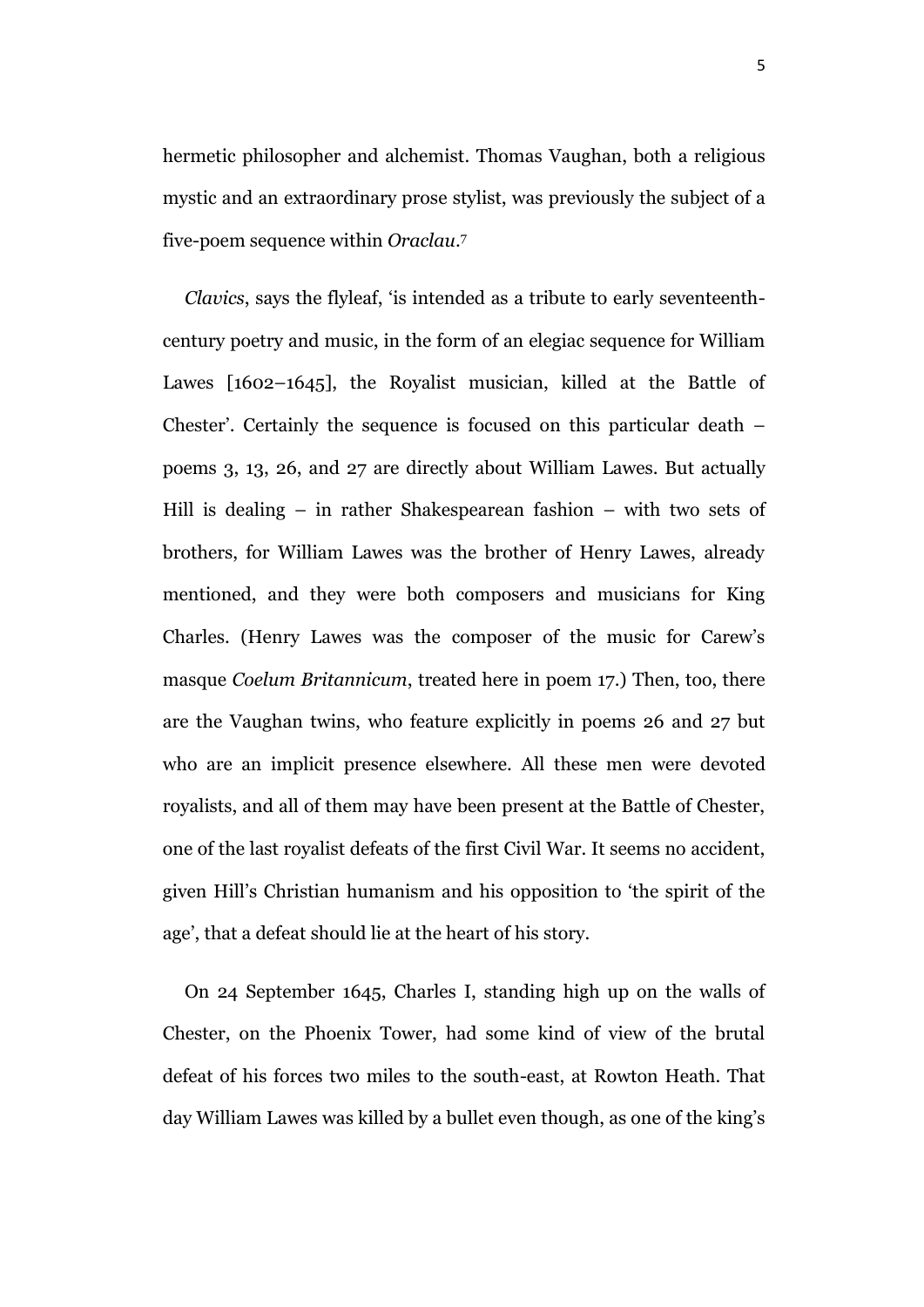hermetic philosopher and alchemist. Thomas Vaughan, both a religious mystic and an extraordinary prose stylist, was previously the subject of a five-poem sequence within *Oraclau*. 7

*Clavics*, says the flyleaf, 'is intended as a tribute to early seventeenthcentury poetry and music, in the form of an elegiac sequence for William Lawes [1602–1645], the Royalist musician, killed at the Battle of Chester'. Certainly the sequence is focused on this particular death – poems 3, 13, 26, and 27 are directly about William Lawes. But actually Hill is dealing – in rather Shakespearean fashion – with two sets of brothers, for William Lawes was the brother of Henry Lawes, already mentioned, and they were both composers and musicians for King Charles. (Henry Lawes was the composer of the music for Carew's masque *Coelum Britannicum*, treated here in poem 17.) Then, too, there are the Vaughan twins, who feature explicitly in poems 26 and 27 but who are an implicit presence elsewhere. All these men were devoted royalists, and all of them may have been present at the Battle of Chester, one of the last royalist defeats of the first Civil War. It seems no accident, given Hill's Christian humanism and his opposition to 'the spirit of the age', that a defeat should lie at the heart of his story.

On 24 September 1645, Charles I, standing high up on the walls of Chester, on the Phoenix Tower, had some kind of view of the brutal defeat of his forces two miles to the south-east, at Rowton Heath. That day William Lawes was killed by a bullet even though, as one of the king's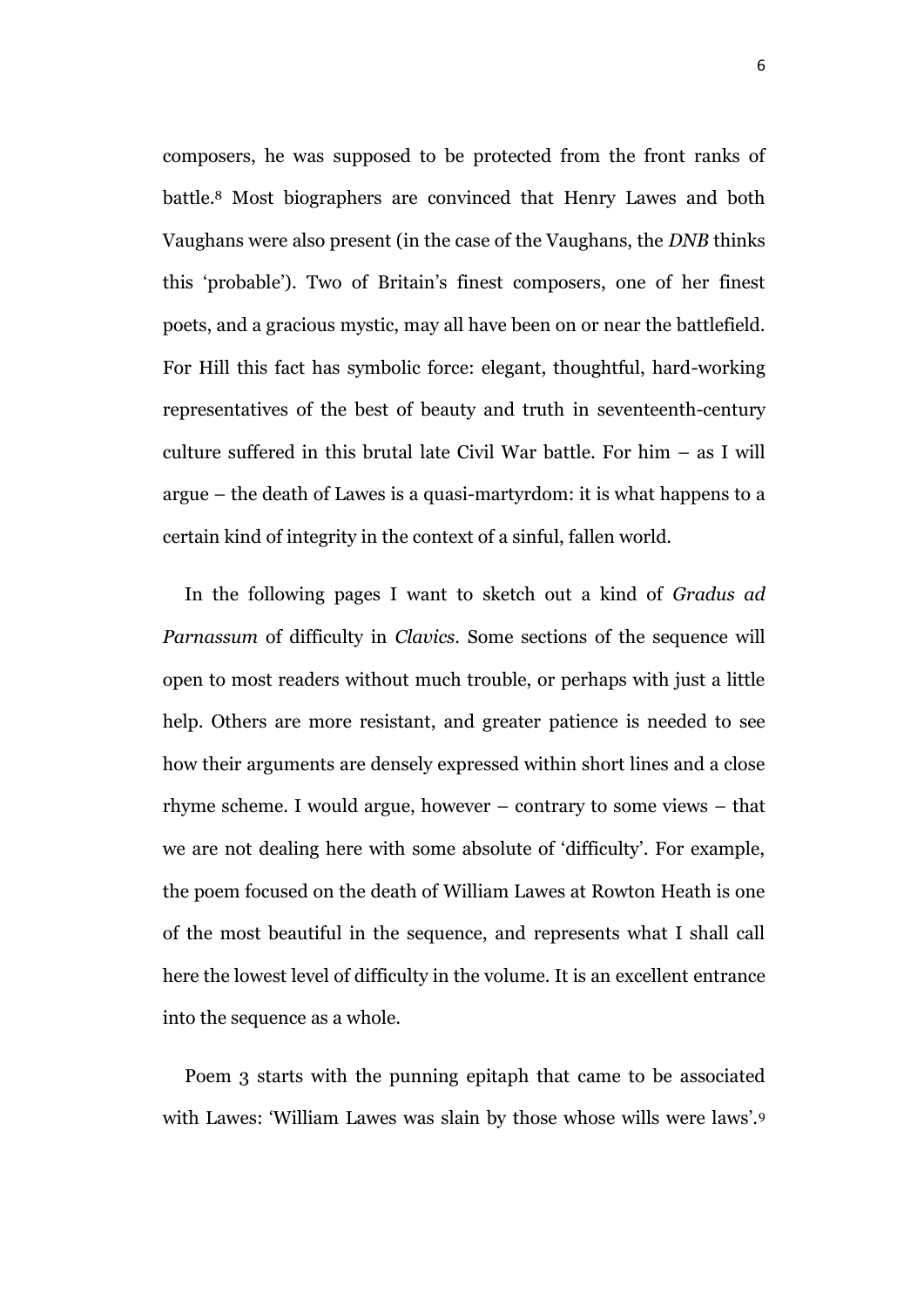composers, he was supposed to be protected from the front ranks of battle.<sup>8</sup> Most biographers are convinced that Henry Lawes and both Vaughans were also present (in the case of the Vaughans, the *DNB* thinks this 'probable'). Two of Britain's finest composers, one of her finest poets, and a gracious mystic, may all have been on or near the battlefield. For Hill this fact has symbolic force: elegant, thoughtful, hard-working representatives of the best of beauty and truth in seventeenth-century culture suffered in this brutal late Civil War battle. For him – as I will argue – the death of Lawes is a quasi-martyrdom: it is what happens to a certain kind of integrity in the context of a sinful, fallen world.

In the following pages I want to sketch out a kind of *Gradus ad Parnassum* of difficulty in *Clavics*. Some sections of the sequence will open to most readers without much trouble, or perhaps with just a little help. Others are more resistant, and greater patience is needed to see how their arguments are densely expressed within short lines and a close rhyme scheme. I would argue, however – contrary to some views – that we are not dealing here with some absolute of 'difficulty'. For example, the poem focused on the death of William Lawes at Rowton Heath is one of the most beautiful in the sequence, and represents what I shall call here the lowest level of difficulty in the volume. It is an excellent entrance into the sequence as a whole.

Poem 3 starts with the punning epitaph that came to be associated with Lawes: 'William Lawes was slain by those whose wills were laws'.9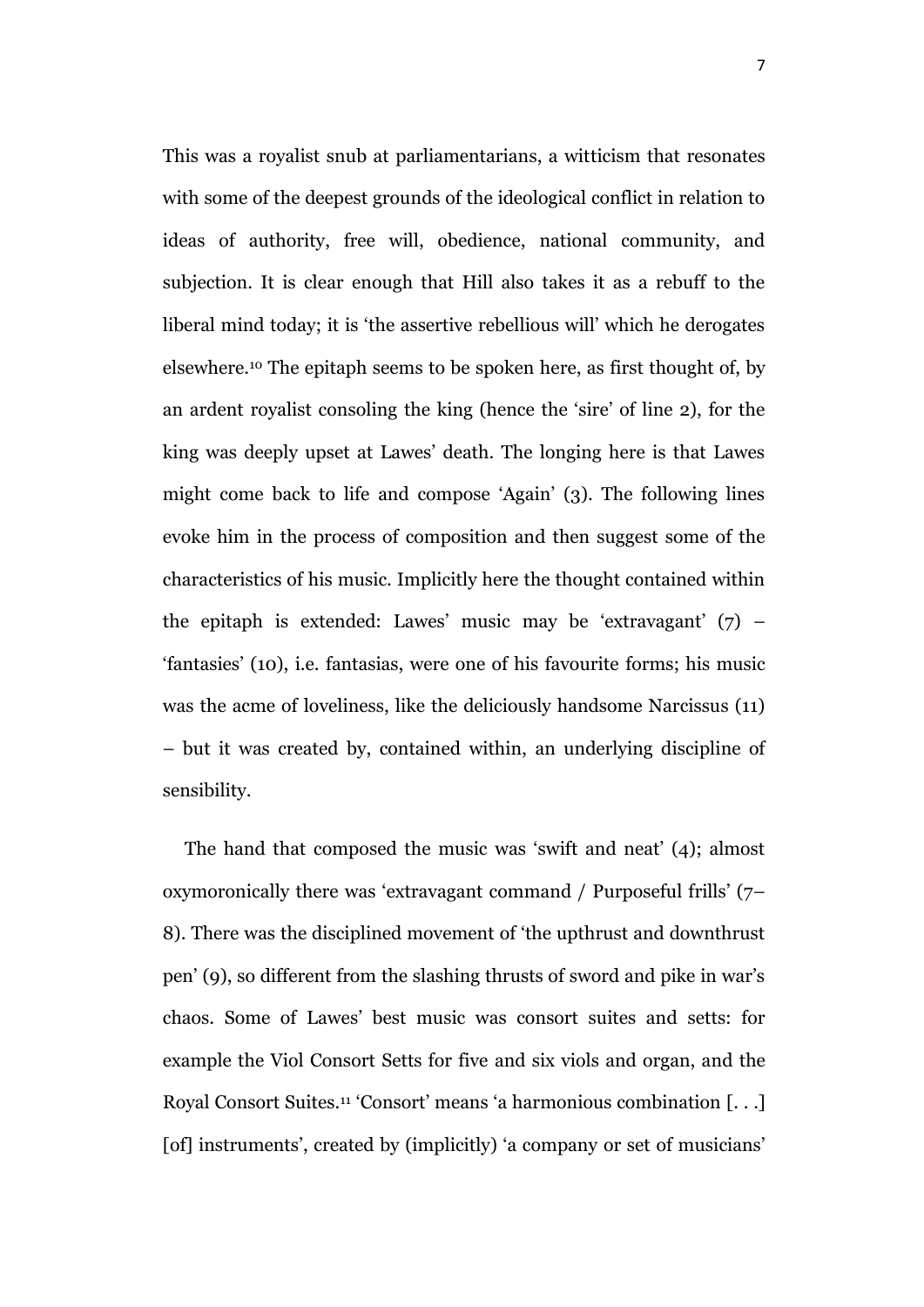This was a royalist snub at parliamentarians, a witticism that resonates with some of the deepest grounds of the ideological conflict in relation to ideas of authority, free will, obedience, national community, and subjection. It is clear enough that Hill also takes it as a rebuff to the liberal mind today; it is 'the assertive rebellious will' which he derogates elsewhere.<sup>10</sup> The epitaph seems to be spoken here, as first thought of, by an ardent royalist consoling the king (hence the 'sire' of line 2), for the king was deeply upset at Lawes' death. The longing here is that Lawes might come back to life and compose 'Again' (3). The following lines evoke him in the process of composition and then suggest some of the characteristics of his music. Implicitly here the thought contained within the epitaph is extended: Lawes' music may be 'extravagant' (7) – 'fantasies' (10), i.e. fantasias, were one of his favourite forms; his music was the acme of loveliness, like the deliciously handsome Narcissus (11) – but it was created by, contained within, an underlying discipline of sensibility.

The hand that composed the music was 'swift and neat' (4); almost oxymoronically there was 'extravagant command / Purposeful frills' (7– 8). There was the disciplined movement of 'the upthrust and downthrust pen' (9), so different from the slashing thrusts of sword and pike in war's chaos. Some of Lawes' best music was consort suites and setts: for example the Viol Consort Setts for five and six viols and organ, and the Royal Consort Suites.<sup>11</sup> 'Consort' means 'a harmonious combination [. . .] [of] instruments', created by (implicitly) 'a company or set of musicians'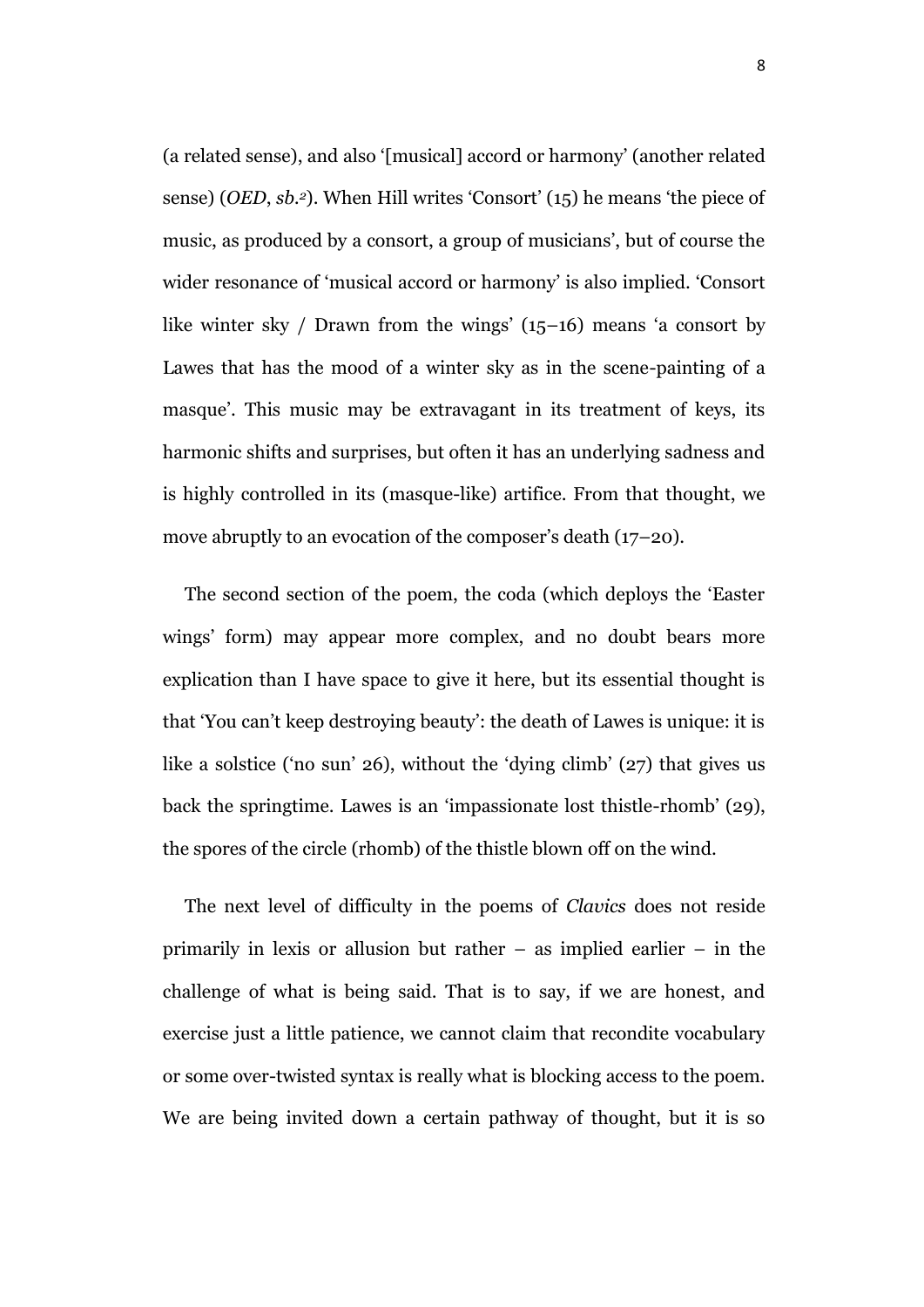(a related sense), and also '[musical] accord or harmony' (another related sense) (*OED*, *sb.2*). When Hill writes 'Consort' (15) he means 'the piece of music, as produced by a consort, a group of musicians', but of course the wider resonance of 'musical accord or harmony' is also implied. 'Consort like winter sky / Drawn from the wings' (15–16) means 'a consort by Lawes that has the mood of a winter sky as in the scene-painting of a masque'. This music may be extravagant in its treatment of keys, its harmonic shifts and surprises, but often it has an underlying sadness and is highly controlled in its (masque-like) artifice. From that thought, we move abruptly to an evocation of the composer's death (17–20).

The second section of the poem, the coda (which deploys the 'Easter wings' form) may appear more complex, and no doubt bears more explication than I have space to give it here, but its essential thought is that 'You can't keep destroying beauty': the death of Lawes is unique: it is like a solstice ('no sun' 26), without the 'dying climb' (27) that gives us back the springtime. Lawes is an 'impassionate lost thistle-rhomb' (29), the spores of the circle (rhomb) of the thistle blown off on the wind.

The next level of difficulty in the poems of *Clavics* does not reside primarily in lexis or allusion but rather – as implied earlier – in the challenge of what is being said. That is to say, if we are honest, and exercise just a little patience, we cannot claim that recondite vocabulary or some over-twisted syntax is really what is blocking access to the poem. We are being invited down a certain pathway of thought, but it is so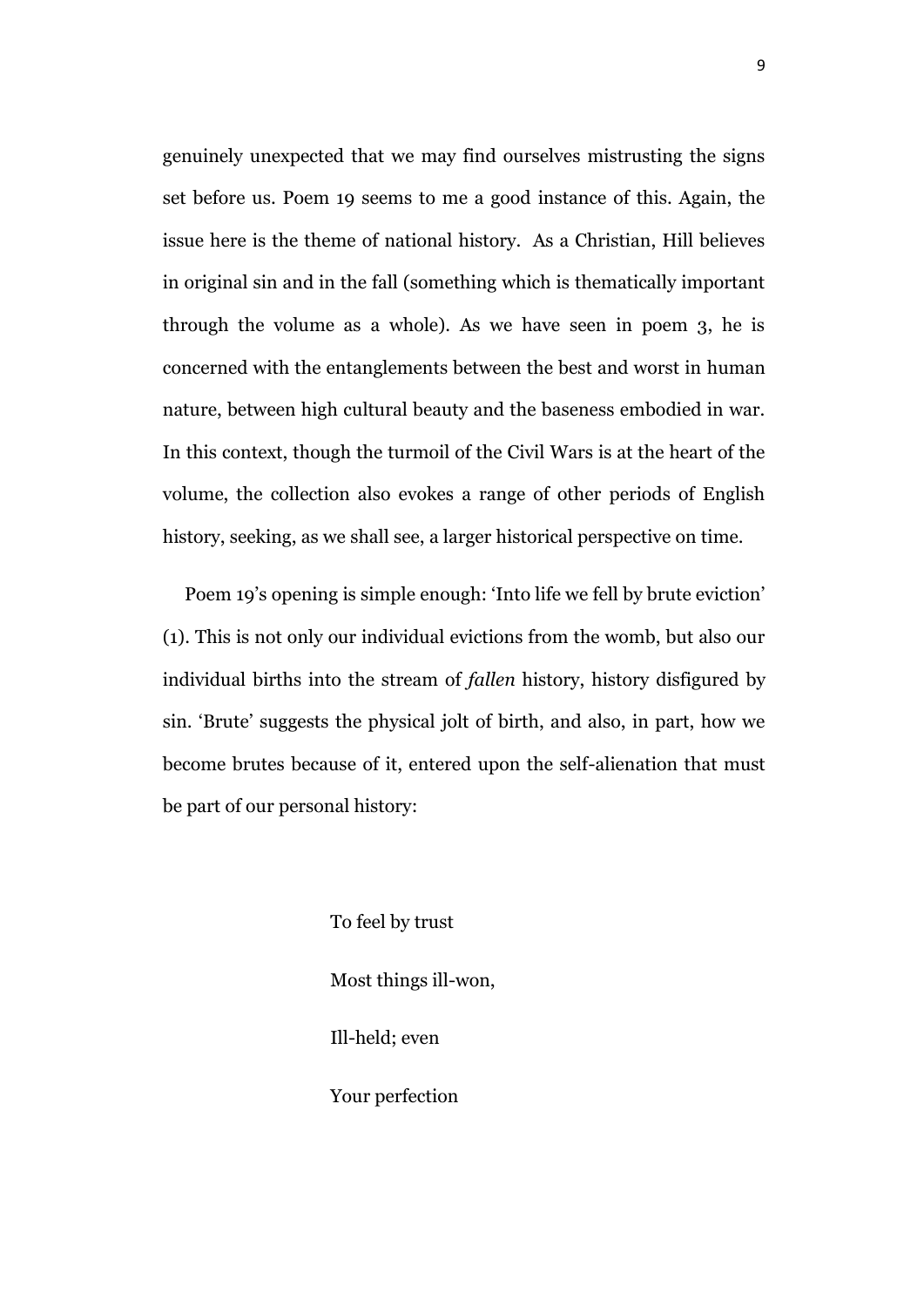genuinely unexpected that we may find ourselves mistrusting the signs set before us. Poem 19 seems to me a good instance of this. Again, the issue here is the theme of national history. As a Christian, Hill believes in original sin and in the fall (something which is thematically important through the volume as a whole). As we have seen in poem 3, he is concerned with the entanglements between the best and worst in human nature, between high cultural beauty and the baseness embodied in war. In this context, though the turmoil of the Civil Wars is at the heart of the volume, the collection also evokes a range of other periods of English history, seeking, as we shall see, a larger historical perspective on time.

Poem 19's opening is simple enough: 'Into life we fell by brute eviction' (1). This is not only our individual evictions from the womb, but also our individual births into the stream of *fallen* history, history disfigured by sin. 'Brute' suggests the physical jolt of birth, and also, in part, how we become brutes because of it, entered upon the self-alienation that must be part of our personal history:

> To feel by trust Most things ill-won, Ill-held; even Your perfection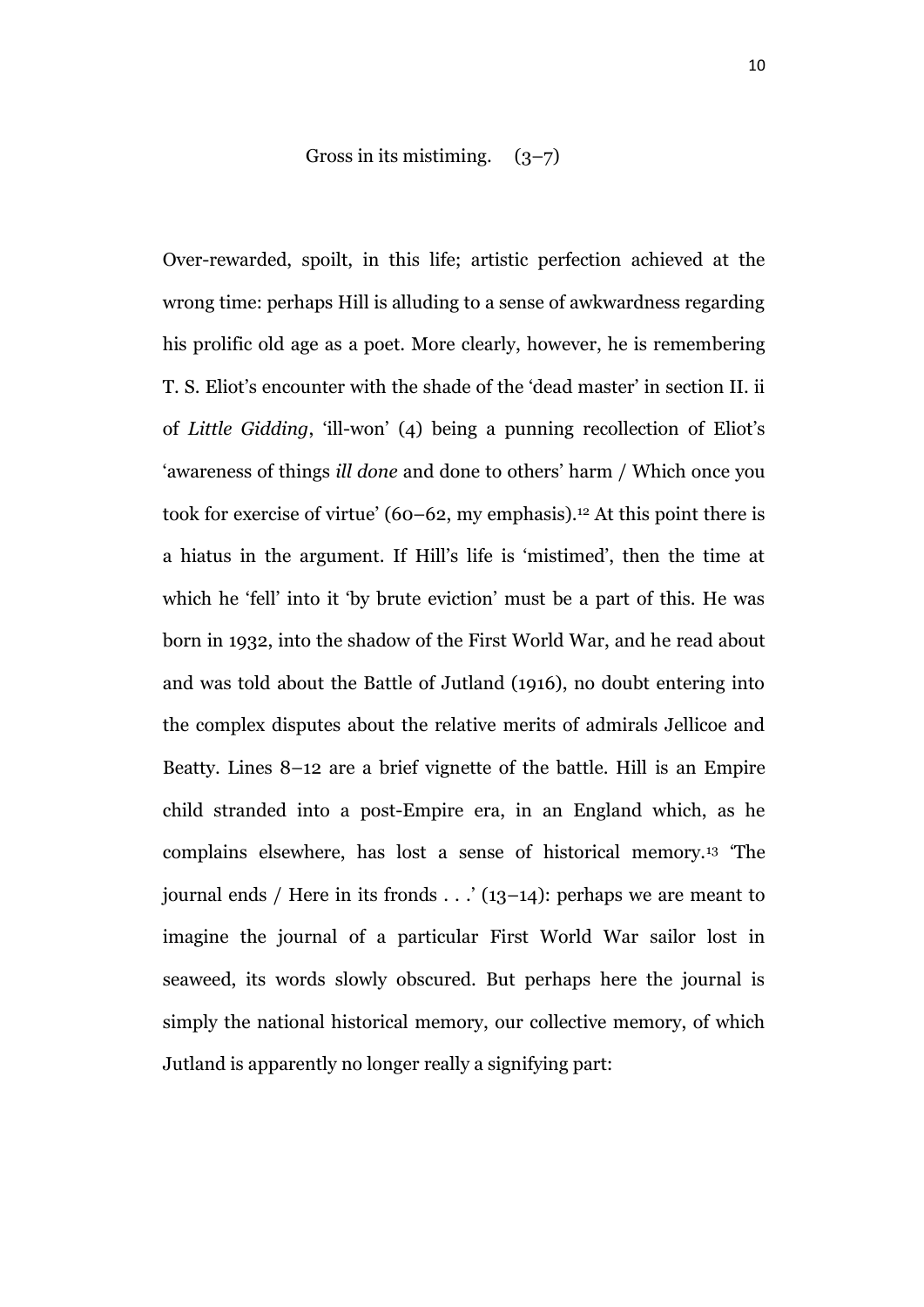Gross in its mistiming. 
$$
(3-7)
$$

Over-rewarded, spoilt, in this life; artistic perfection achieved at the wrong time: perhaps Hill is alluding to a sense of awkwardness regarding his prolific old age as a poet. More clearly, however, he is remembering T. S. Eliot's encounter with the shade of the 'dead master' in section II. ii of *Little Gidding*, 'ill-won' (4) being a punning recollection of Eliot's 'awareness of things *ill done* and done to others' harm / Which once you took for exercise of virtue'  $(60-62, m\gamma)$  emphasis).<sup>12</sup> At this point there is a hiatus in the argument. If Hill's life is 'mistimed', then the time at which he 'fell' into it 'by brute eviction' must be a part of this. He was born in 1932, into the shadow of the First World War, and he read about and was told about the Battle of Jutland (1916), no doubt entering into the complex disputes about the relative merits of admirals Jellicoe and Beatty. Lines 8–12 are a brief vignette of the battle. Hill is an Empire child stranded into a post-Empire era, in an England which, as he complains elsewhere, has lost a sense of historical memory.<sup>13</sup> 'The journal ends / Here in its fronds  $\ldots$  (13–14): perhaps we are meant to imagine the journal of a particular First World War sailor lost in seaweed, its words slowly obscured. But perhaps here the journal is simply the national historical memory, our collective memory, of which Jutland is apparently no longer really a signifying part: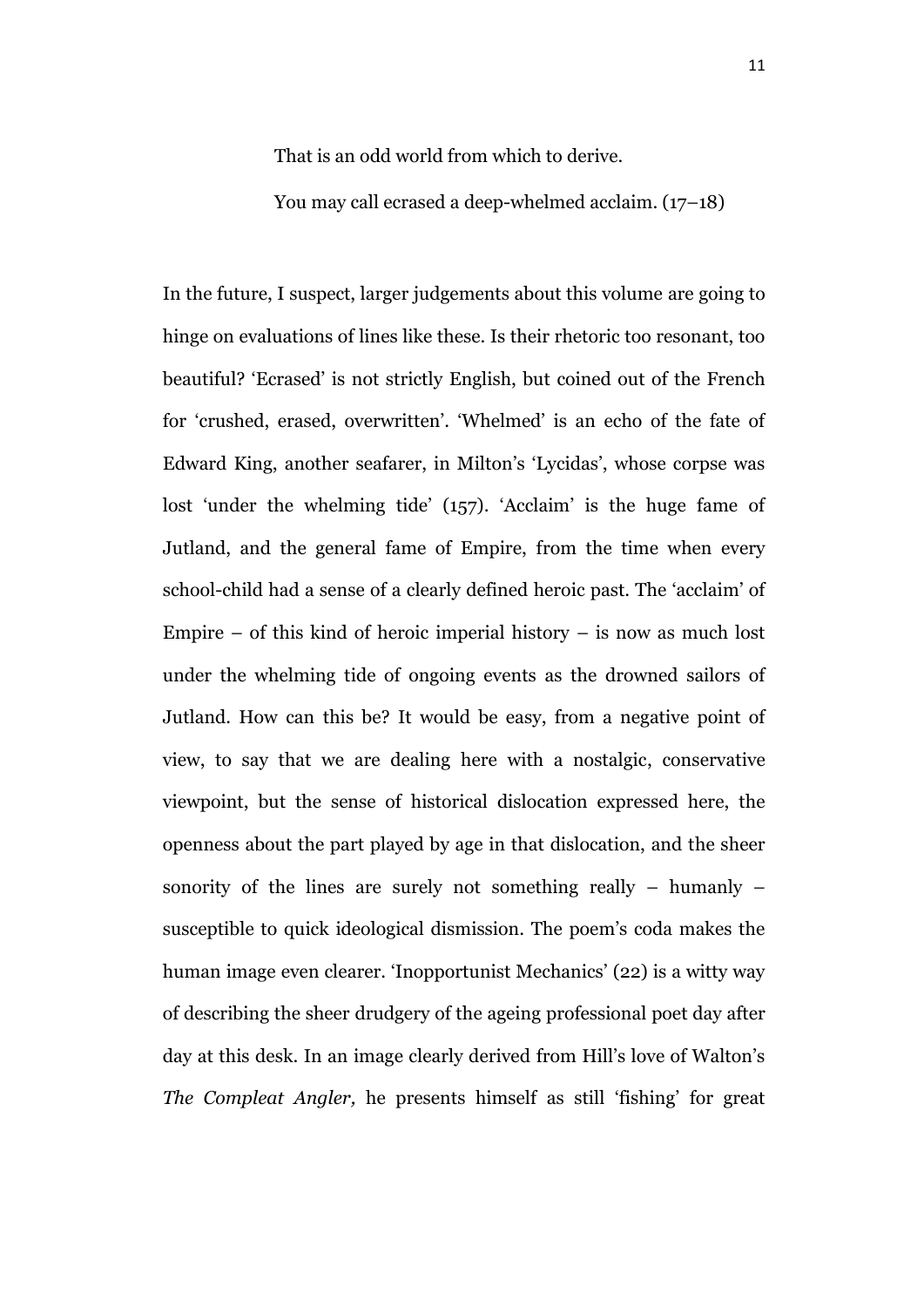That is an odd world from which to derive.

You may call ecrased a deep-whelmed acclaim. (17–18)

In the future, I suspect, larger judgements about this volume are going to hinge on evaluations of lines like these. Is their rhetoric too resonant, too beautiful? 'Ecrased' is not strictly English, but coined out of the French for 'crushed, erased, overwritten'. 'Whelmed' is an echo of the fate of Edward King, another seafarer, in Milton's 'Lycidas', whose corpse was lost 'under the whelming tide' (157). 'Acclaim' is the huge fame of Jutland, and the general fame of Empire, from the time when every school-child had a sense of a clearly defined heroic past. The 'acclaim' of Empire – of this kind of heroic imperial history – is now as much lost under the whelming tide of ongoing events as the drowned sailors of Jutland. How can this be? It would be easy, from a negative point of view, to say that we are dealing here with a nostalgic, conservative viewpoint, but the sense of historical dislocation expressed here, the openness about the part played by age in that dislocation, and the sheer sonority of the lines are surely not something really – humanly – susceptible to quick ideological dismission. The poem's coda makes the human image even clearer. 'Inopportunist Mechanics' (22) is a witty way of describing the sheer drudgery of the ageing professional poet day after day at this desk. In an image clearly derived from Hill's love of Walton's *The Compleat Angler,* he presents himself as still 'fishing' for great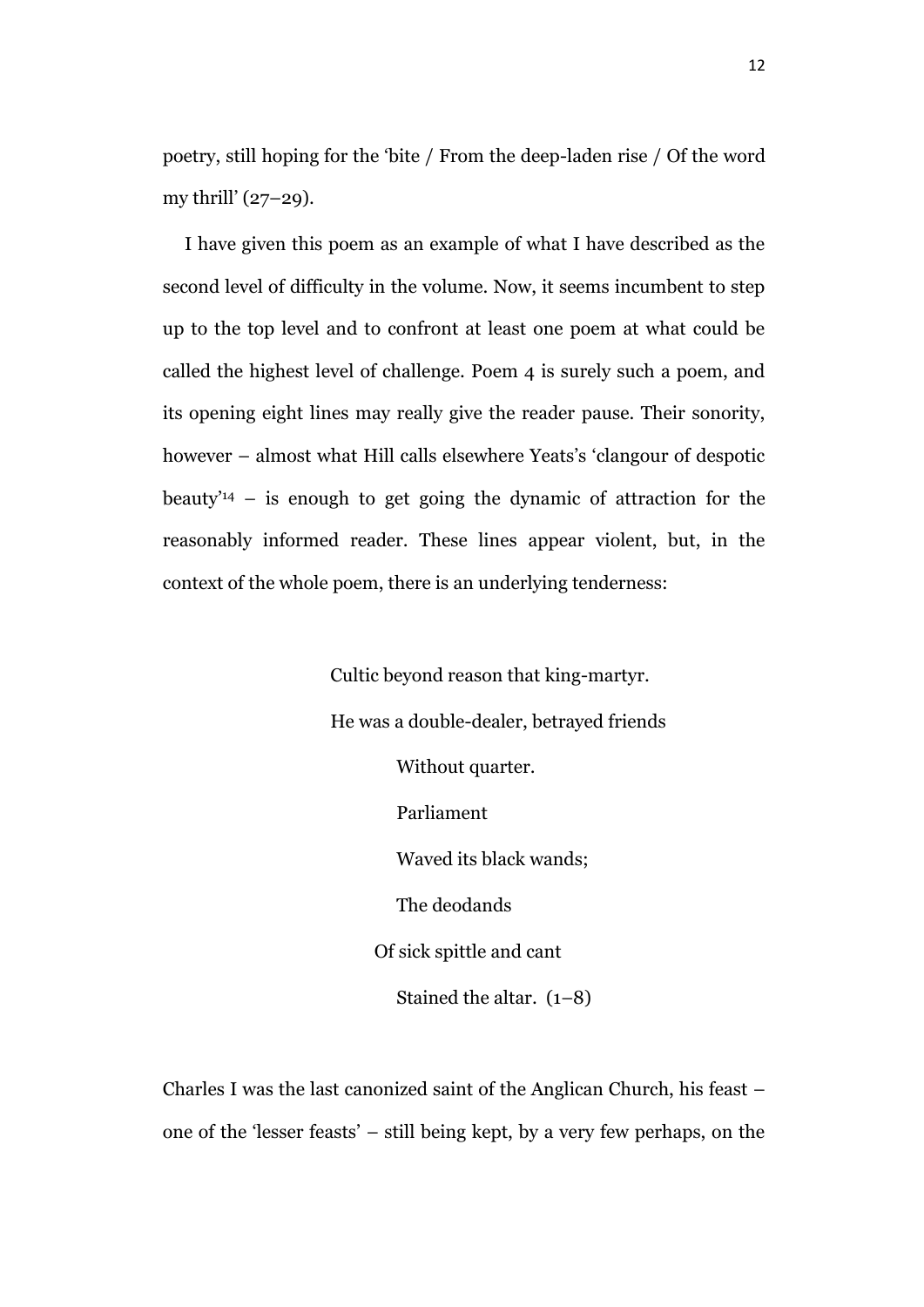poetry, still hoping for the 'bite / From the deep-laden rise / Of the word my thrill' (27–29).

I have given this poem as an example of what I have described as the second level of difficulty in the volume. Now, it seems incumbent to step up to the top level and to confront at least one poem at what could be called the highest level of challenge. Poem 4 is surely such a poem, and its opening eight lines may really give the reader pause. Their sonority, however – almost what Hill calls elsewhere Yeats's 'clangour of despotic beauty<sup>'14</sup> – is enough to get going the dynamic of attraction for the reasonably informed reader. These lines appear violent, but, in the context of the whole poem, there is an underlying tenderness:

> Cultic beyond reason that king-martyr. He was a double-dealer, betrayed friends Without quarter. Parliament Waved its black wands; The deodands Of sick spittle and cant Stained the altar. (1–8)

Charles I was the last canonized saint of the Anglican Church, his feast – one of the 'lesser feasts' – still being kept, by a very few perhaps, on the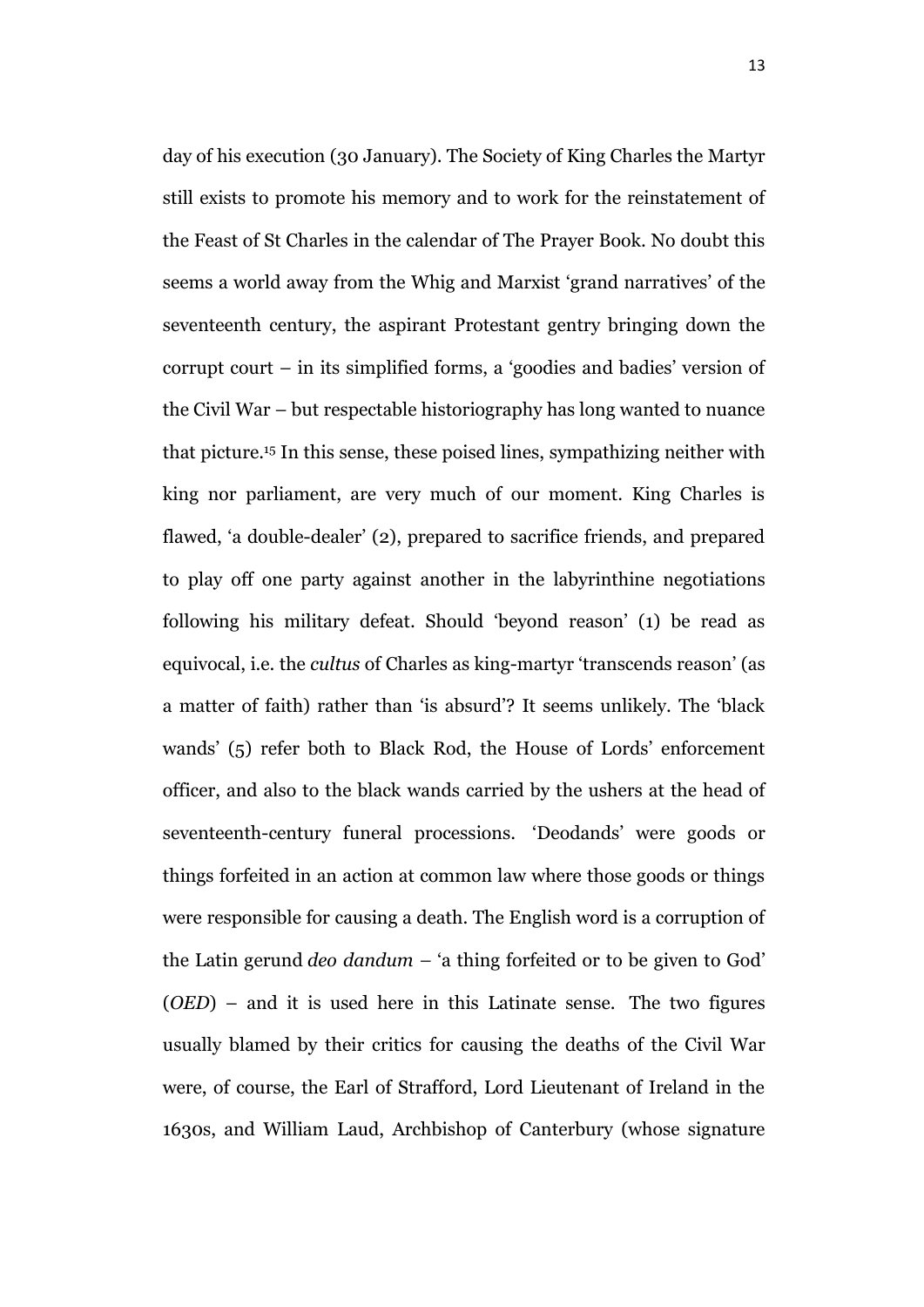day of his execution (30 January). The Society of King Charles the Martyr still exists to promote his memory and to work for the reinstatement of the Feast of St Charles in the calendar of The Prayer Book. No doubt this seems a world away from the Whig and Marxist 'grand narratives' of the seventeenth century, the aspirant Protestant gentry bringing down the corrupt court – in its simplified forms, a 'goodies and badies' version of the Civil War – but respectable historiography has long wanted to nuance that picture.<sup>15</sup> In this sense, these poised lines, sympathizing neither with king nor parliament, are very much of our moment. King Charles is flawed, 'a double-dealer' (2), prepared to sacrifice friends, and prepared to play off one party against another in the labyrinthine negotiations following his military defeat. Should 'beyond reason' (1) be read as equivocal, i.e. the *cultus* of Charles as king-martyr 'transcends reason' (as a matter of faith) rather than 'is absurd'? It seems unlikely. The 'black wands' (5) refer both to Black Rod, the House of Lords' enforcement officer, and also to the black wands carried by the ushers at the head of seventeenth-century funeral processions. 'Deodands' were goods or things forfeited in an action at common law where those goods or things were responsible for causing a death. The English word is a corruption of the Latin gerund *deo dandum –* 'a thing forfeited or to be given to God' (*OED*) – and it is used here in this Latinate sense. The two figures usually blamed by their critics for causing the deaths of the Civil War were, of course, the Earl of Strafford, Lord Lieutenant of Ireland in the 1630s, and William Laud, Archbishop of Canterbury (whose signature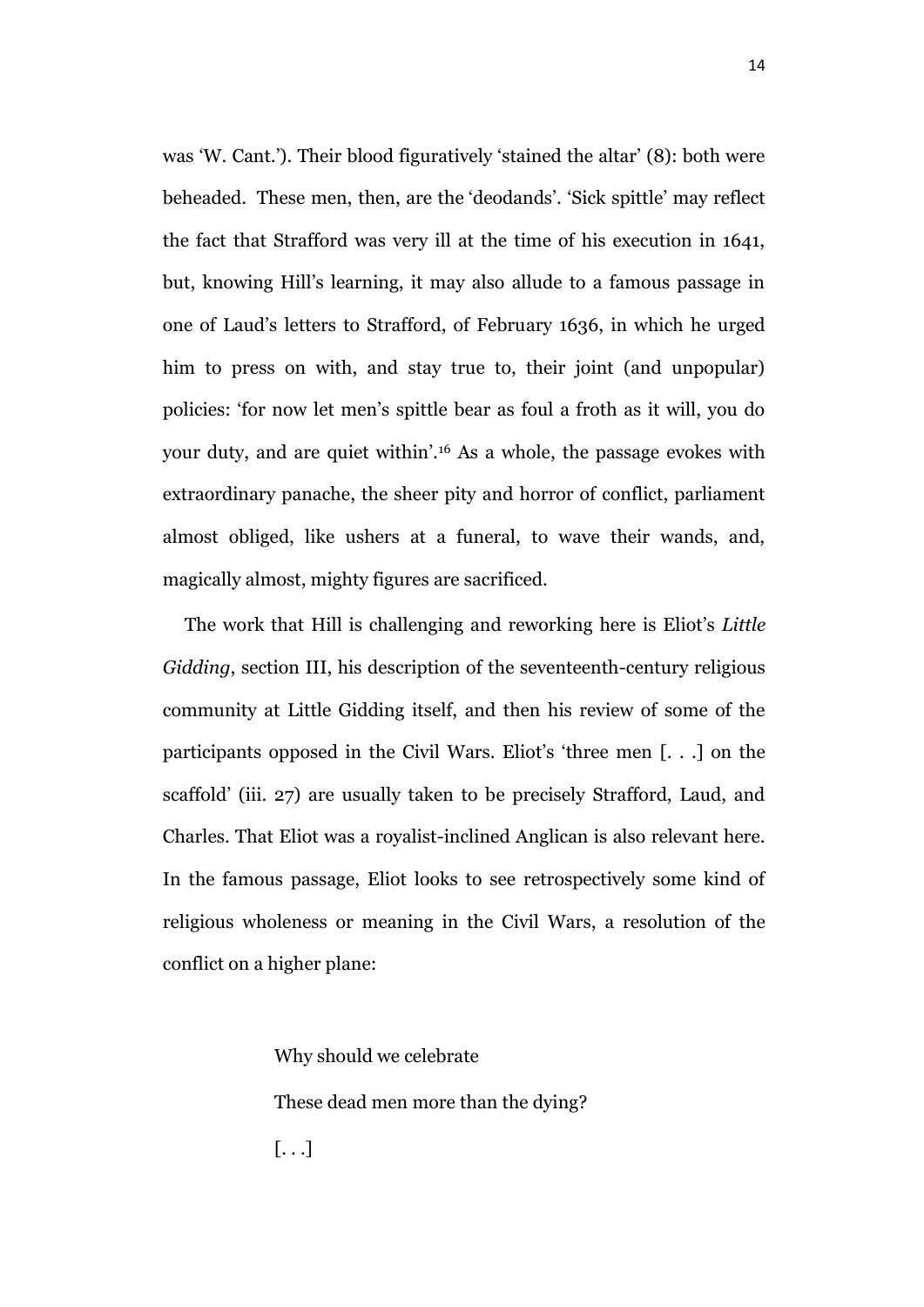was 'W. Cant.'). Their blood figuratively 'stained the altar' (8): both were beheaded. These men, then, are the 'deodands'. 'Sick spittle' may reflect the fact that Strafford was very ill at the time of his execution in 1641, but, knowing Hill's learning, it may also allude to a famous passage in one of Laud's letters to Strafford, of February 1636, in which he urged him to press on with, and stay true to, their joint (and unpopular) policies: 'for now let men's spittle bear as foul a froth as it will, you do your duty, and are quiet within'.<sup>16</sup> As a whole, the passage evokes with extraordinary panache, the sheer pity and horror of conflict, parliament almost obliged, like ushers at a funeral, to wave their wands, and, magically almost, mighty figures are sacrificed.

The work that Hill is challenging and reworking here is Eliot's *Little Gidding*, section III, his description of the seventeenth-century religious community at Little Gidding itself, and then his review of some of the participants opposed in the Civil Wars. Eliot's 'three men [. . .] on the scaffold' (iii. 27) are usually taken to be precisely Strafford, Laud, and Charles. That Eliot was a royalist-inclined Anglican is also relevant here. In the famous passage, Eliot looks to see retrospectively some kind of religious wholeness or meaning in the Civil Wars, a resolution of the conflict on a higher plane:

> Why should we celebrate These dead men more than the dying? [. . .]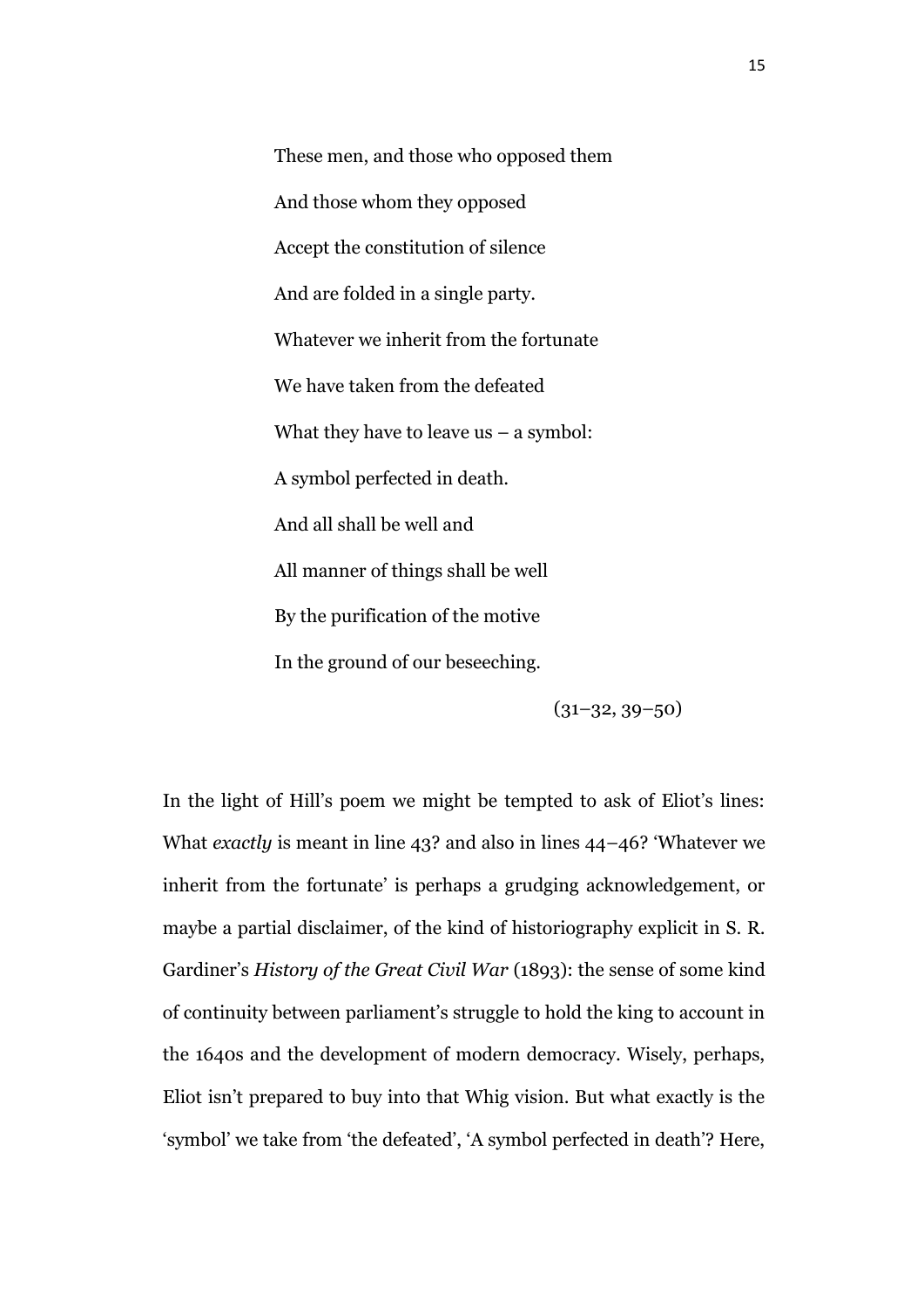These men, and those who opposed them And those whom they opposed Accept the constitution of silence And are folded in a single party. Whatever we inherit from the fortunate We have taken from the defeated What they have to leave  $us - a$  symbol: A symbol perfected in death. And all shall be well and All manner of things shall be well By the purification of the motive In the ground of our beseeching.

 $(31-32, 39-50)$ 

In the light of Hill's poem we might be tempted to ask of Eliot's lines: What *exactly* is meant in line 43? and also in lines 44–46? 'Whatever we inherit from the fortunate' is perhaps a grudging acknowledgement, or maybe a partial disclaimer, of the kind of historiography explicit in S. R. Gardiner's *History of the Great Civil War* (1893): the sense of some kind of continuity between parliament's struggle to hold the king to account in the 1640s and the development of modern democracy. Wisely, perhaps, Eliot isn't prepared to buy into that Whig vision. But what exactly is the 'symbol' we take from 'the defeated', 'A symbol perfected in death'? Here,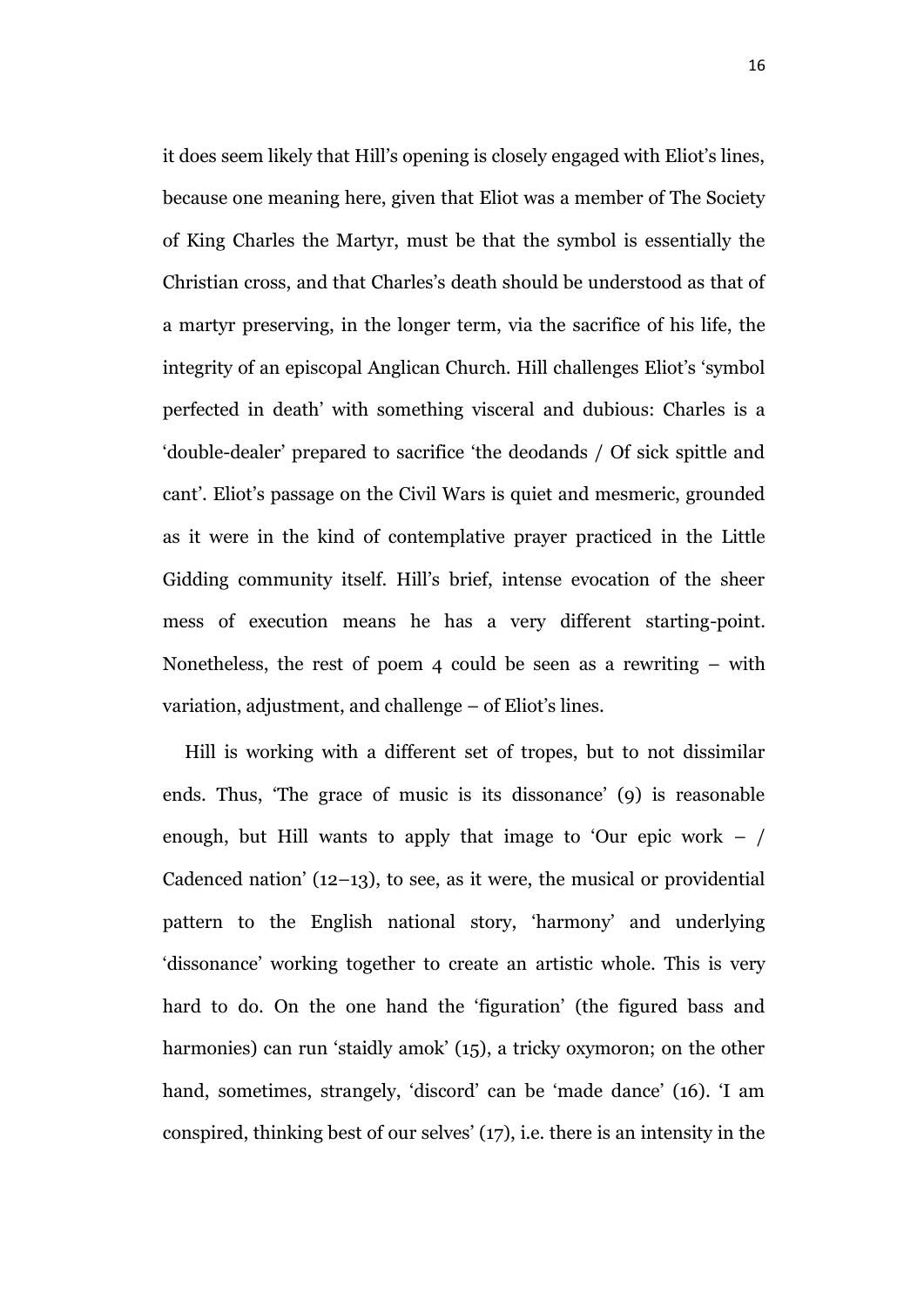it does seem likely that Hill's opening is closely engaged with Eliot's lines, because one meaning here, given that Eliot was a member of The Society of King Charles the Martyr, must be that the symbol is essentially the Christian cross, and that Charles's death should be understood as that of a martyr preserving, in the longer term, via the sacrifice of his life, the integrity of an episcopal Anglican Church. Hill challenges Eliot's 'symbol perfected in death' with something visceral and dubious: Charles is a 'double-dealer' prepared to sacrifice 'the deodands / Of sick spittle and cant'. Eliot's passage on the Civil Wars is quiet and mesmeric, grounded as it were in the kind of contemplative prayer practiced in the Little Gidding community itself. Hill's brief, intense evocation of the sheer mess of execution means he has a very different starting-point. Nonetheless, the rest of poem 4 could be seen as a rewriting – with variation, adjustment, and challenge – of Eliot's lines.

Hill is working with a different set of tropes, but to not dissimilar ends. Thus, 'The grace of music is its dissonance' (9) is reasonable enough, but Hill wants to apply that image to 'Our epic work  $-$  / Cadenced nation'  $(12-13)$ , to see, as it were, the musical or providential pattern to the English national story, 'harmony' and underlying 'dissonance' working together to create an artistic whole. This is very hard to do. On the one hand the 'figuration' (the figured bass and harmonies) can run 'staidly amok' (15), a tricky oxymoron; on the other hand, sometimes, strangely, 'discord' can be 'made dance' (16). 'I am conspired, thinking best of our selves' (17), i.e. there is an intensity in the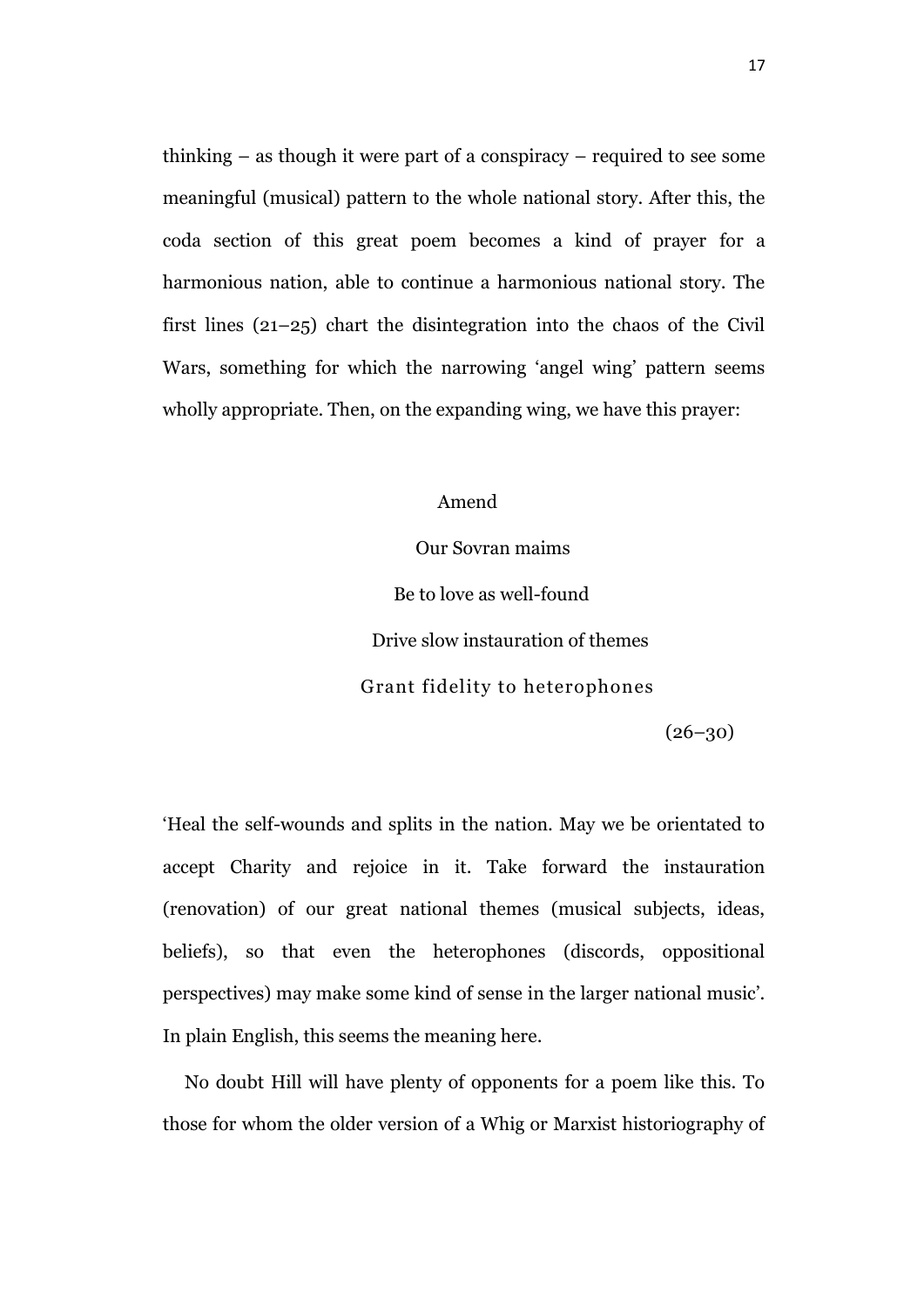thinking – as though it were part of a conspiracy – required to see some meaningful (musical) pattern to the whole national story. After this, the coda section of this great poem becomes a kind of prayer for a harmonious nation, able to continue a harmonious national story. The first lines (21–25) chart the disintegration into the chaos of the Civil Wars, something for which the narrowing 'angel wing' pattern seems wholly appropriate. Then, on the expanding wing, we have this prayer:

Amend

Our Sovran maims Be to love as well-found Drive slow instauration of themes Grant fidelity to heterophones

 $(26 - 30)$ 

'Heal the self-wounds and splits in the nation. May we be orientated to accept Charity and rejoice in it. Take forward the instauration (renovation) of our great national themes (musical subjects, ideas, beliefs), so that even the heterophones (discords, oppositional perspectives) may make some kind of sense in the larger national music'. In plain English, this seems the meaning here.

No doubt Hill will have plenty of opponents for a poem like this. To those for whom the older version of a Whig or Marxist historiography of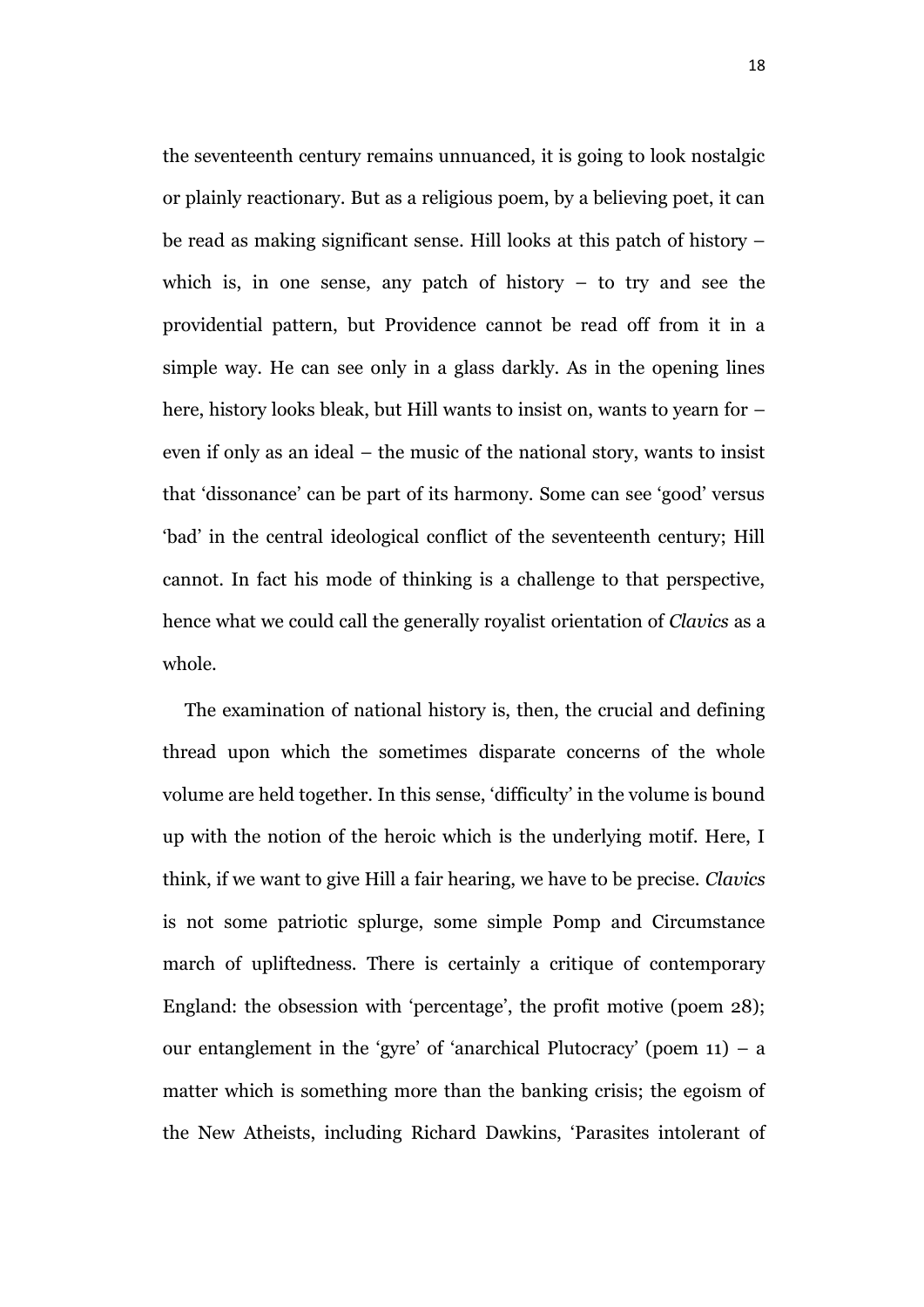the seventeenth century remains unnuanced, it is going to look nostalgic or plainly reactionary. But as a religious poem, by a believing poet, it can be read as making significant sense. Hill looks at this patch of history – which is, in one sense, any patch of history  $-$  to try and see the providential pattern, but Providence cannot be read off from it in a simple way. He can see only in a glass darkly. As in the opening lines here, history looks bleak, but Hill wants to insist on, wants to yearn for – even if only as an ideal – the music of the national story, wants to insist that 'dissonance' can be part of its harmony. Some can see 'good' versus 'bad' in the central ideological conflict of the seventeenth century; Hill cannot. In fact his mode of thinking is a challenge to that perspective, hence what we could call the generally royalist orientation of *Clavics* as a whole.

The examination of national history is, then, the crucial and defining thread upon which the sometimes disparate concerns of the whole volume are held together. In this sense, 'difficulty' in the volume is bound up with the notion of the heroic which is the underlying motif. Here, I think, if we want to give Hill a fair hearing, we have to be precise. *Clavics* is not some patriotic splurge, some simple Pomp and Circumstance march of upliftedness. There is certainly a critique of contemporary England: the obsession with 'percentage', the profit motive (poem 28); our entanglement in the 'gyre' of 'anarchical Plutocracy' (poem 11) – a matter which is something more than the banking crisis; the egoism of the New Atheists, including Richard Dawkins, 'Parasites intolerant of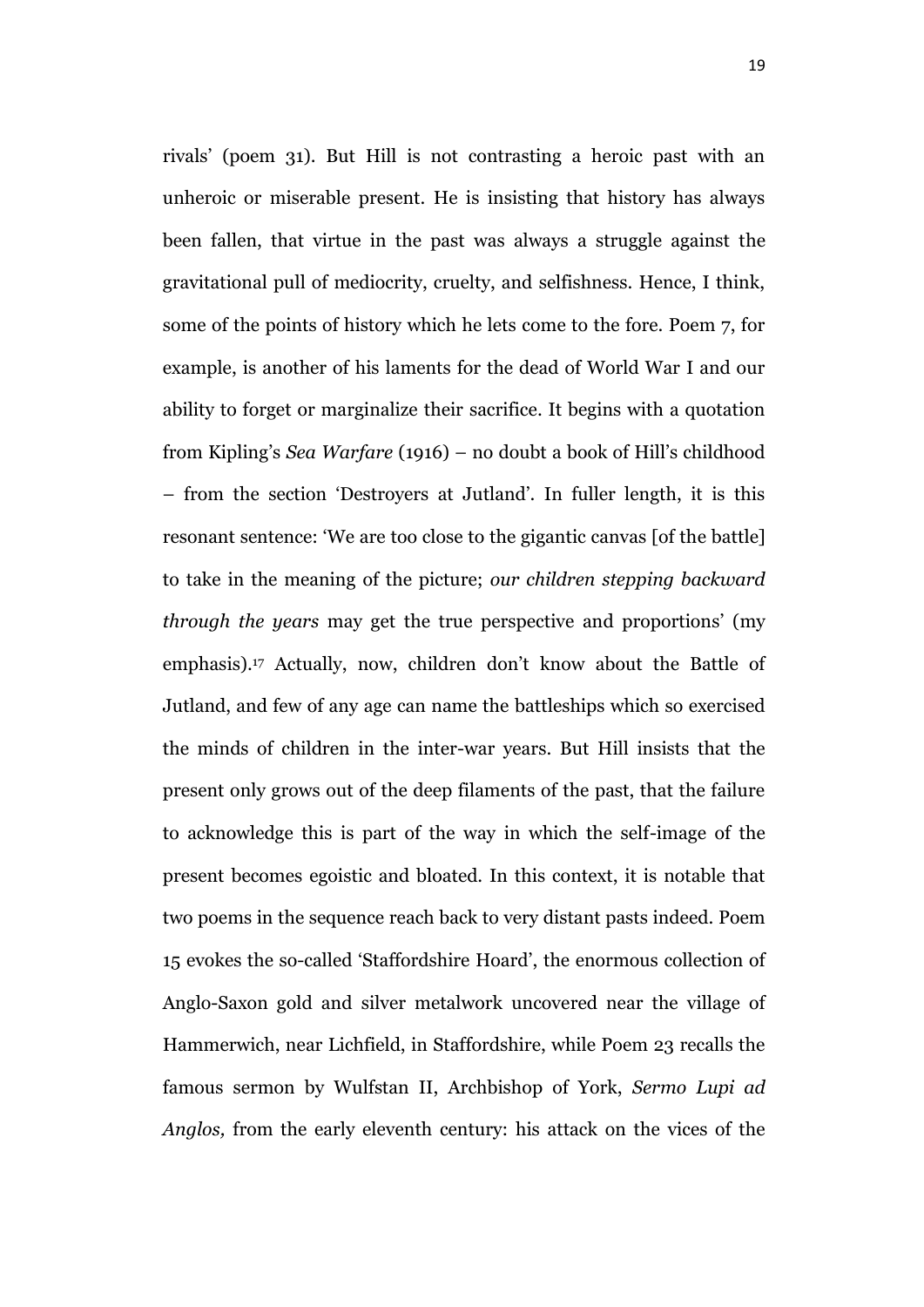rivals' (poem 31). But Hill is not contrasting a heroic past with an unheroic or miserable present. He is insisting that history has always been fallen, that virtue in the past was always a struggle against the gravitational pull of mediocrity, cruelty, and selfishness. Hence, I think, some of the points of history which he lets come to the fore. Poem 7, for example, is another of his laments for the dead of World War I and our ability to forget or marginalize their sacrifice. It begins with a quotation from Kipling's *Sea Warfare* (1916) – no doubt a book of Hill's childhood – from the section 'Destroyers at Jutland'. In fuller length, it is this resonant sentence: 'We are too close to the gigantic canvas [of the battle] to take in the meaning of the picture; *our children stepping backward through the years* may get the true perspective and proportions' (my emphasis).<sup>17</sup> Actually, now, children don't know about the Battle of Jutland, and few of any age can name the battleships which so exercised the minds of children in the inter-war years. But Hill insists that the present only grows out of the deep filaments of the past, that the failure to acknowledge this is part of the way in which the self-image of the present becomes egoistic and bloated. In this context, it is notable that two poems in the sequence reach back to very distant pasts indeed. Poem 15 evokes the so-called 'Staffordshire Hoard', the enormous collection of Anglo-Saxon gold and silver metalwork uncovered near the village of Hammerwich, near Lichfield, in Staffordshire, while Poem 23 recalls the famous sermon by Wulfstan II, Archbishop of York, *Sermo Lupi ad Anglos,* from the early eleventh century: his attack on the vices of the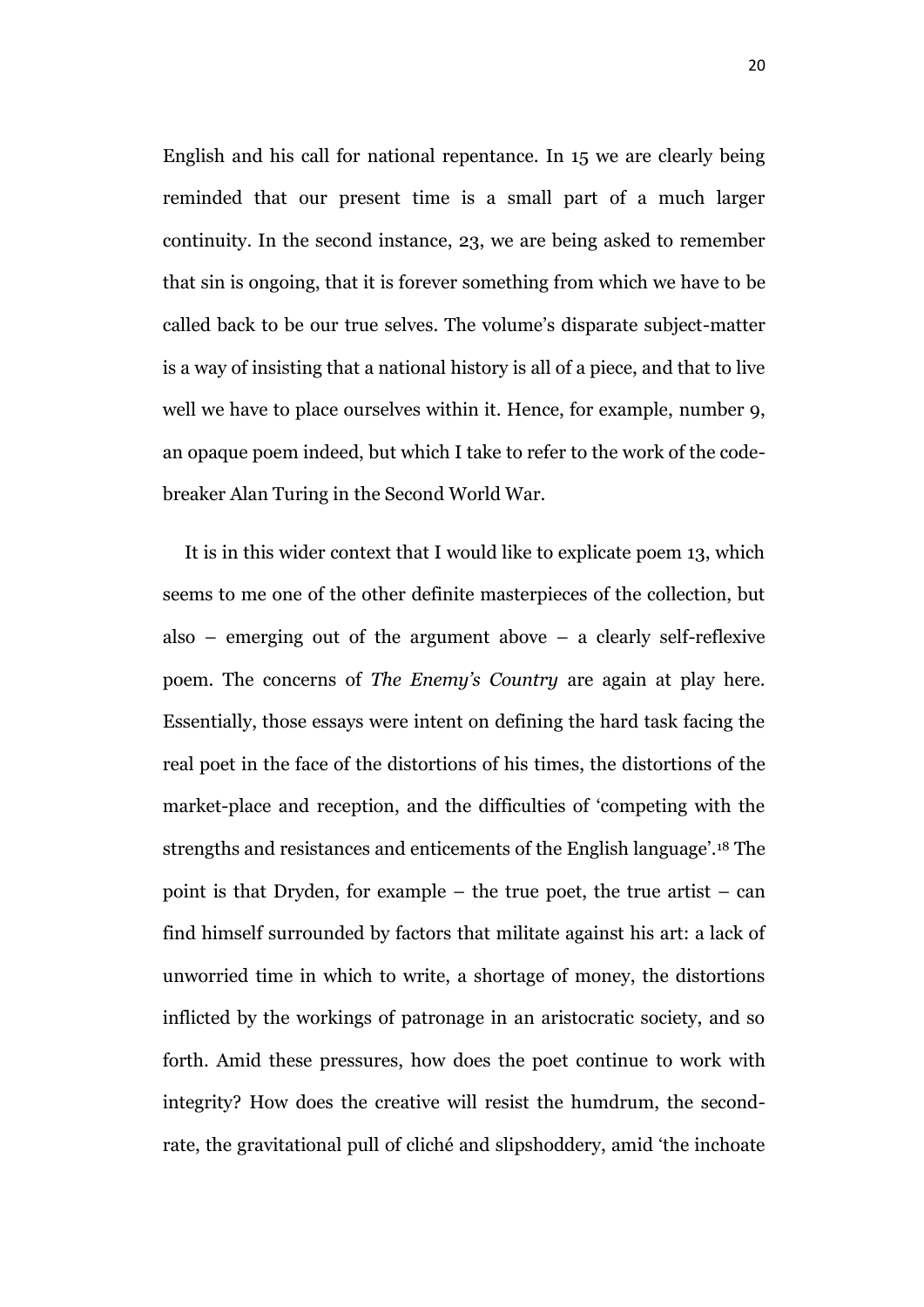English and his call for national repentance. In 15 we are clearly being reminded that our present time is a small part of a much larger continuity. In the second instance, 23, we are being asked to remember that sin is ongoing, that it is forever something from which we have to be called back to be our true selves. The volume's disparate subject-matter is a way of insisting that a national history is all of a piece, and that to live well we have to place ourselves within it. Hence, for example, number 9, an opaque poem indeed, but which I take to refer to the work of the codebreaker Alan Turing in the Second World War.

It is in this wider context that I would like to explicate poem 13, which seems to me one of the other definite masterpieces of the collection, but also – emerging out of the argument above – a clearly self-reflexive poem. The concerns of *The Enemy's Country* are again at play here. Essentially, those essays were intent on defining the hard task facing the real poet in the face of the distortions of his times, the distortions of the market-place and reception, and the difficulties of 'competing with the strengths and resistances and enticements of the English language'.<sup>18</sup> The point is that Dryden, for example – the true poet, the true artist – can find himself surrounded by factors that militate against his art: a lack of unworried time in which to write, a shortage of money, the distortions inflicted by the workings of patronage in an aristocratic society, and so forth. Amid these pressures, how does the poet continue to work with integrity? How does the creative will resist the humdrum, the secondrate, the gravitational pull of cliché and slipshoddery, amid 'the inchoate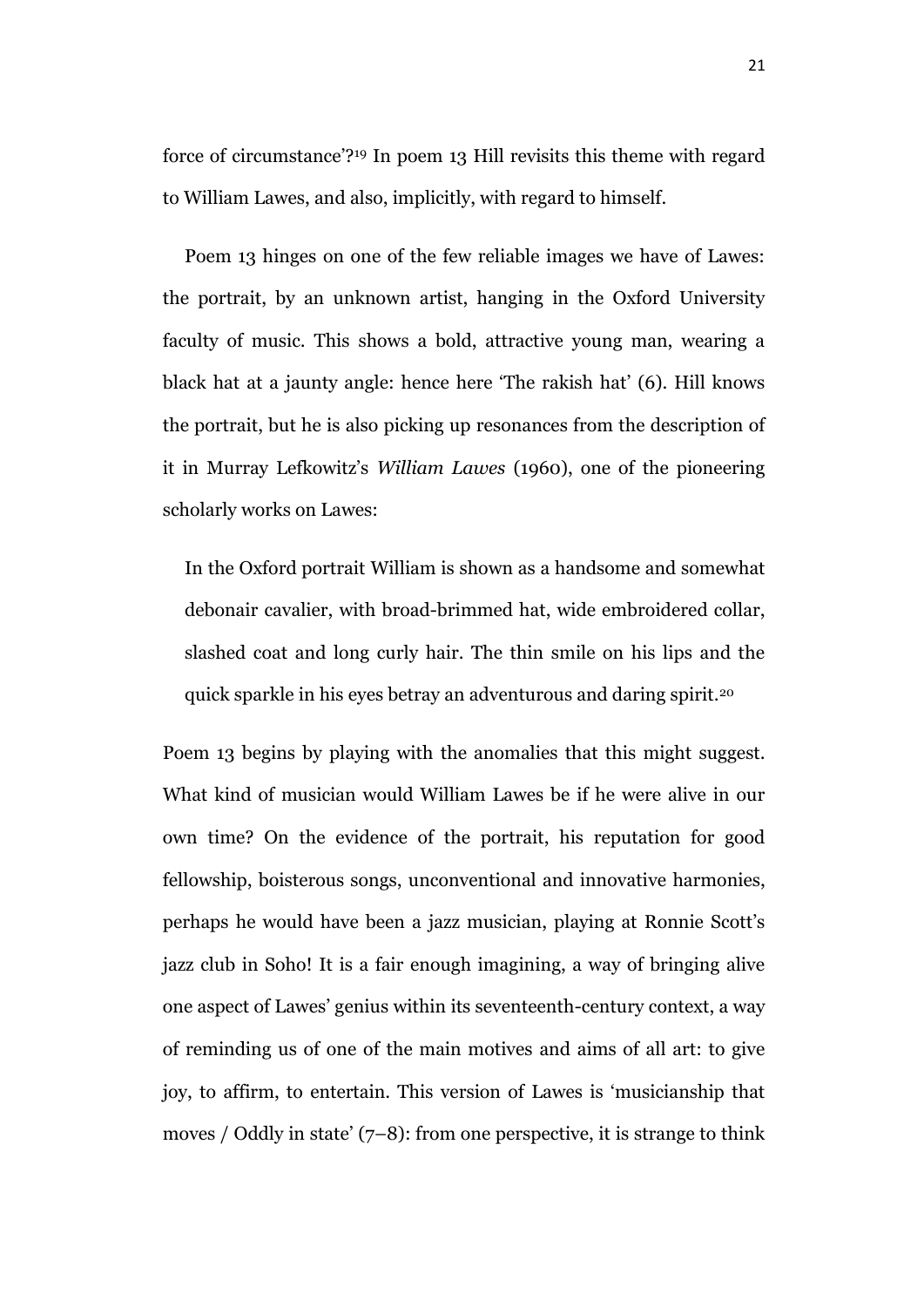force of circumstance'?<sup>19</sup> In poem 13 Hill revisits this theme with regard to William Lawes, and also, implicitly, with regard to himself.

Poem 13 hinges on one of the few reliable images we have of Lawes: the portrait, by an unknown artist, hanging in the Oxford University faculty of music. This shows a bold, attractive young man, wearing a black hat at a jaunty angle: hence here 'The rakish hat' (6). Hill knows the portrait, but he is also picking up resonances from the description of it in Murray Lefkowitz's *William Lawes* (1960), one of the pioneering scholarly works on Lawes:

In the Oxford portrait William is shown as a handsome and somewhat debonair cavalier, with broad-brimmed hat, wide embroidered collar, slashed coat and long curly hair. The thin smile on his lips and the quick sparkle in his eyes betray an adventurous and daring spirit.<sup>20</sup>

Poem 13 begins by playing with the anomalies that this might suggest. What kind of musician would William Lawes be if he were alive in our own time? On the evidence of the portrait, his reputation for good fellowship, boisterous songs, unconventional and innovative harmonies, perhaps he would have been a jazz musician, playing at Ronnie Scott's jazz club in Soho! It is a fair enough imagining, a way of bringing alive one aspect of Lawes' genius within its seventeenth-century context, a way of reminding us of one of the main motives and aims of all art: to give joy, to affirm, to entertain. This version of Lawes is 'musicianship that moves / Oddly in state'  $(7-8)$ : from one perspective, it is strange to think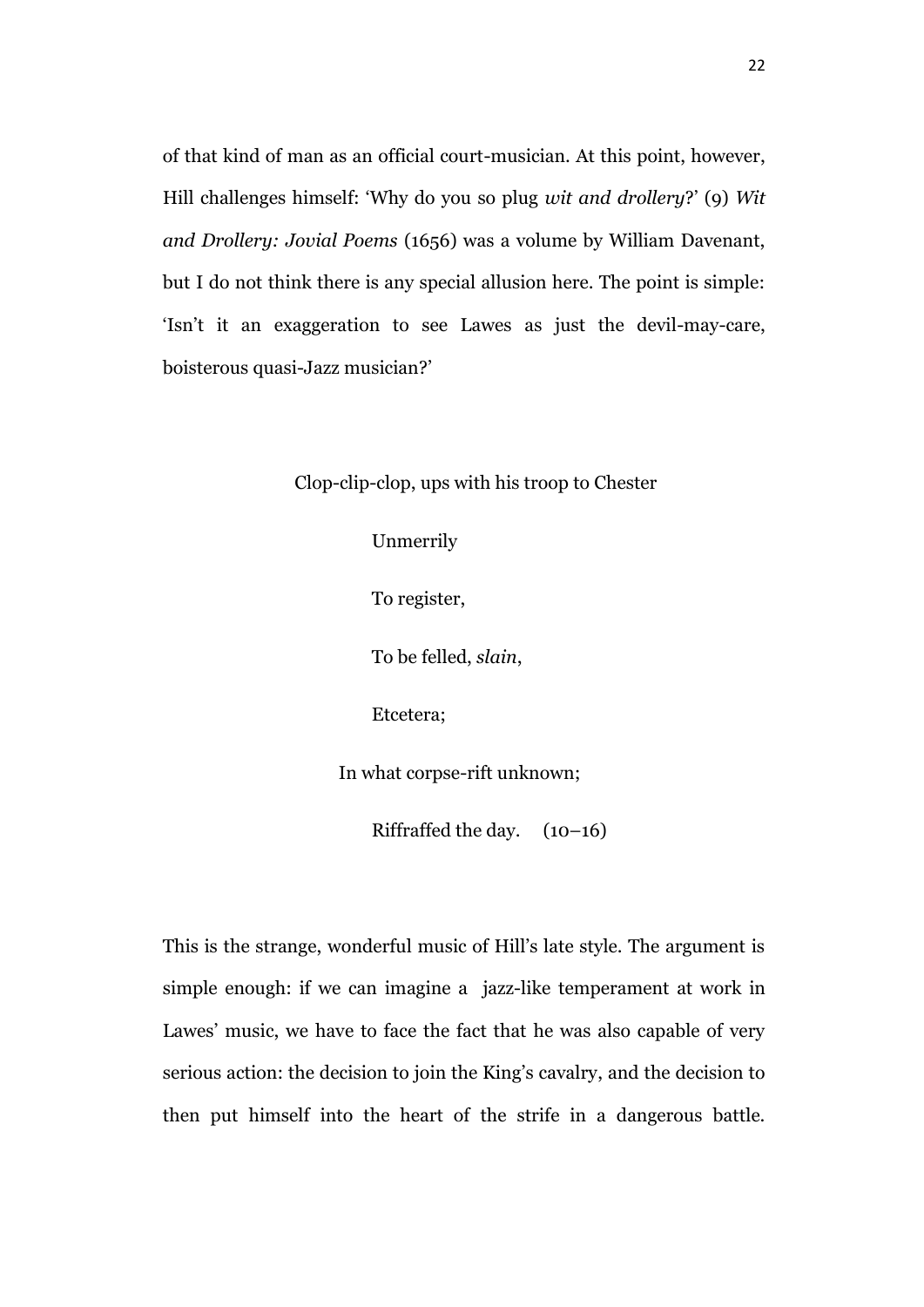of that kind of man as an official court-musician. At this point, however, Hill challenges himself: 'Why do you so plug *wit and drollery*?' (9) *Wit and Drollery: Jovial Poems* (1656) was a volume by William Davenant, but I do not think there is any special allusion here. The point is simple: 'Isn't it an exaggeration to see Lawes as just the devil-may-care, boisterous quasi-Jazz musician?'

Clop-clip-clop, ups with his troop to Chester

Unmerrily To register, To be felled, *slain*, Etcetera; In what corpse-rift unknown; Riffraffed the day. (10–16)

This is the strange, wonderful music of Hill's late style. The argument is simple enough: if we can imagine a jazz-like temperament at work in Lawes' music, we have to face the fact that he was also capable of very serious action: the decision to join the King's cavalry, and the decision to then put himself into the heart of the strife in a dangerous battle.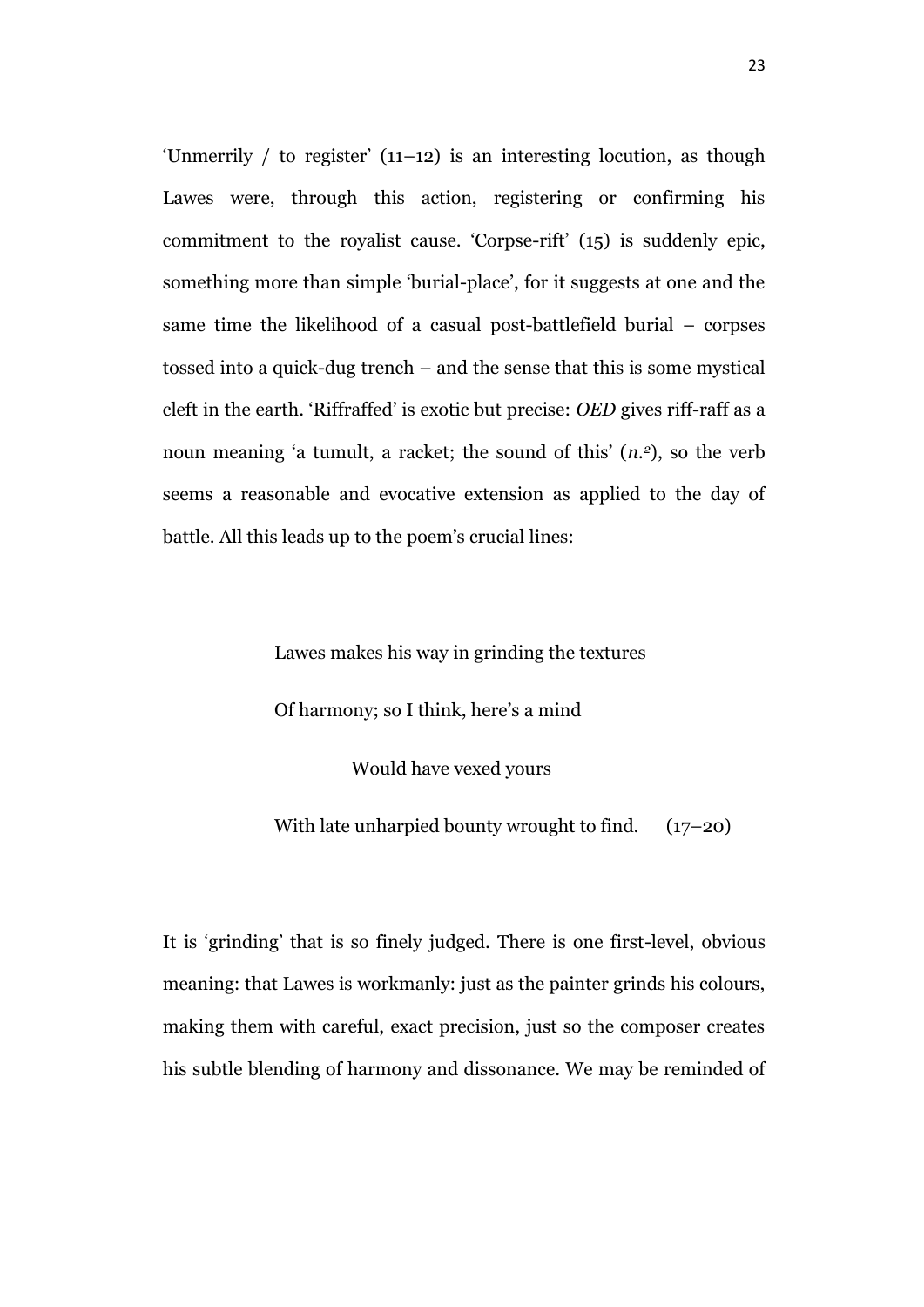'Unmerrily  $/$  to register'  $(11-12)$  is an interesting locution, as though Lawes were, through this action, registering or confirming his commitment to the royalist cause. 'Corpse-rift' (15) is suddenly epic, something more than simple 'burial-place', for it suggests at one and the same time the likelihood of a casual post-battlefield burial – corpses tossed into a quick-dug trench – and the sense that this is some mystical cleft in the earth. 'Riffraffed' is exotic but precise: *OED* gives riff-raff as a noun meaning 'a tumult, a racket; the sound of this' (*n.2*), so the verb seems a reasonable and evocative extension as applied to the day of battle. All this leads up to the poem's crucial lines:

> Lawes makes his way in grinding the textures Of harmony; so I think, here's a mind Would have vexed yours

With late unharpied bounty wrought to find.  $(17-20)$ 

It is 'grinding' that is so finely judged. There is one first-level, obvious meaning: that Lawes is workmanly: just as the painter grinds his colours, making them with careful, exact precision, just so the composer creates his subtle blending of harmony and dissonance. We may be reminded of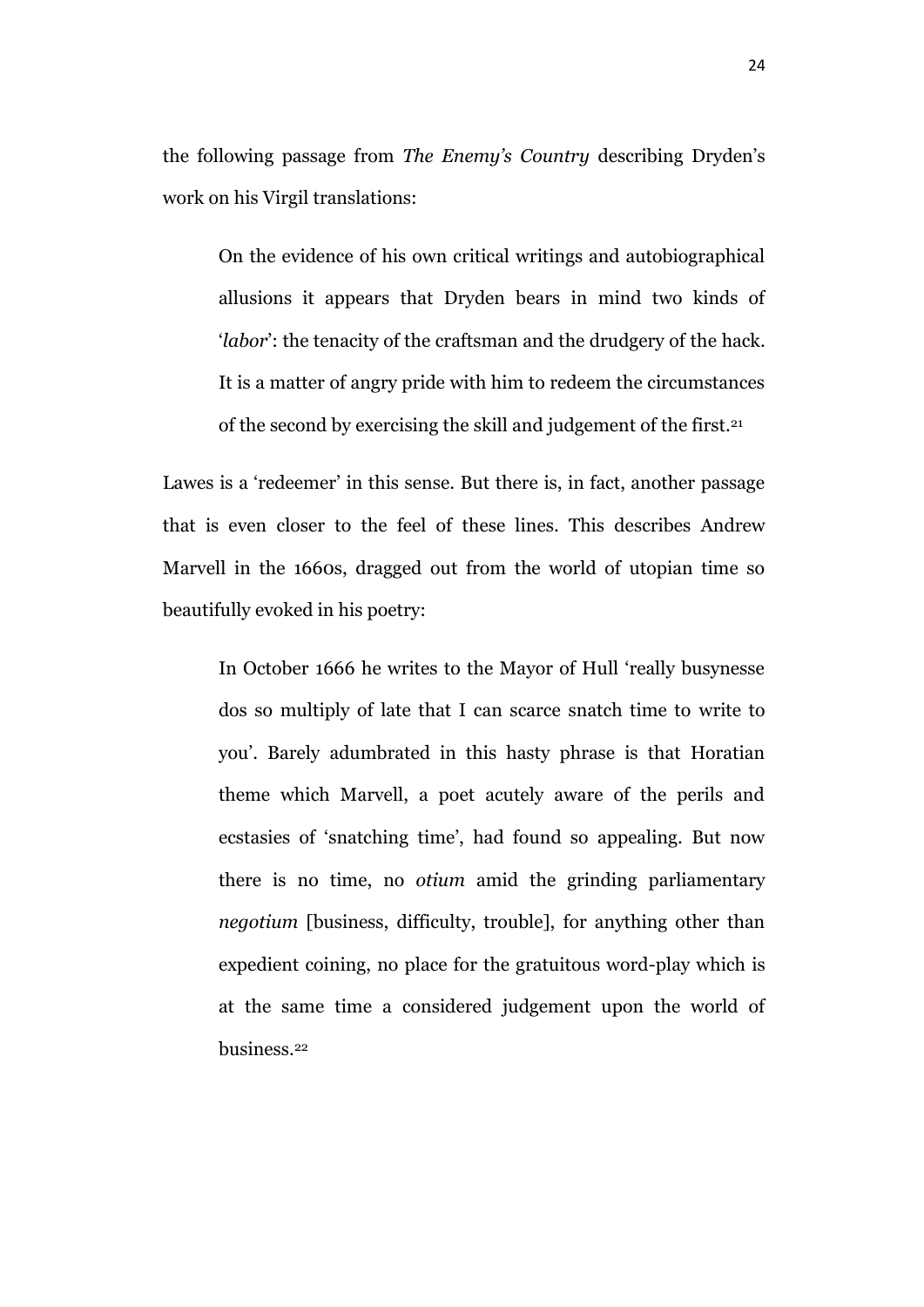the following passage from *The Enemy's Country* describing Dryden's work on his Virgil translations:

On the evidence of his own critical writings and autobiographical allusions it appears that Dryden bears in mind two kinds of '*labor*': the tenacity of the craftsman and the drudgery of the hack. It is a matter of angry pride with him to redeem the circumstances of the second by exercising the skill and judgement of the first.<sup>21</sup>

Lawes is a 'redeemer' in this sense. But there is, in fact, another passage that is even closer to the feel of these lines. This describes Andrew Marvell in the 1660s, dragged out from the world of utopian time so beautifully evoked in his poetry:

In October 1666 he writes to the Mayor of Hull 'really busynesse dos so multiply of late that I can scarce snatch time to write to you'. Barely adumbrated in this hasty phrase is that Horatian theme which Marvell, a poet acutely aware of the perils and ecstasies of 'snatching time', had found so appealing. But now there is no time, no *otium* amid the grinding parliamentary *negotium* [business, difficulty, trouble], for anything other than expedient coining, no place for the gratuitous word-play which is at the same time a considered judgement upon the world of business.22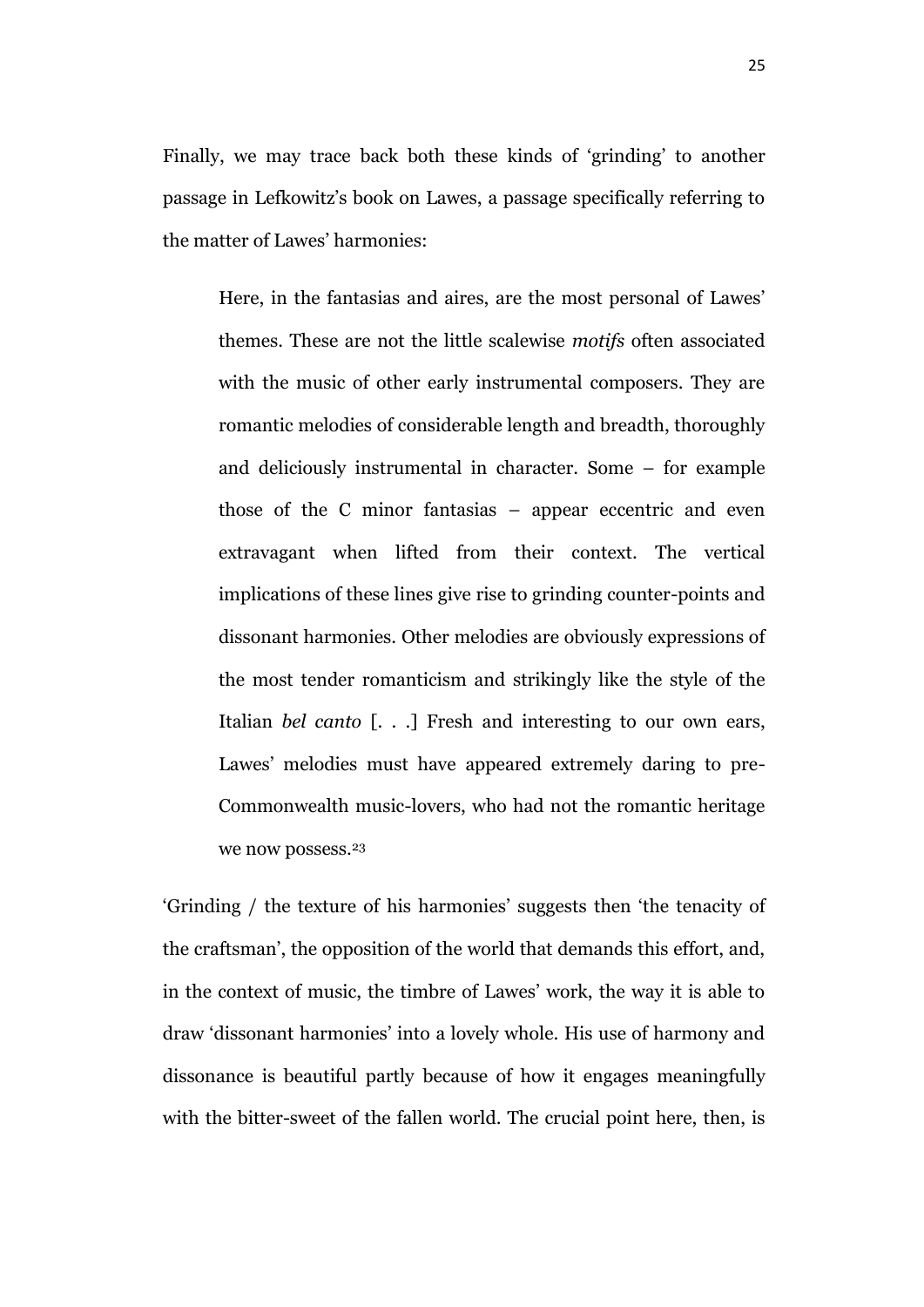Finally, we may trace back both these kinds of 'grinding' to another passage in Lefkowitz's book on Lawes, a passage specifically referring to the matter of Lawes' harmonies:

Here, in the fantasias and aires, are the most personal of Lawes' themes. These are not the little scalewise *motifs* often associated with the music of other early instrumental composers. They are romantic melodies of considerable length and breadth, thoroughly and deliciously instrumental in character. Some – for example those of the C minor fantasias – appear eccentric and even extravagant when lifted from their context. The vertical implications of these lines give rise to grinding counter-points and dissonant harmonies. Other melodies are obviously expressions of the most tender romanticism and strikingly like the style of the Italian *bel canto* [. . .] Fresh and interesting to our own ears, Lawes' melodies must have appeared extremely daring to pre-Commonwealth music-lovers, who had not the romantic heritage we now possess.<sup>23</sup>

'Grinding / the texture of his harmonies' suggests then 'the tenacity of the craftsman', the opposition of the world that demands this effort, and, in the context of music, the timbre of Lawes' work, the way it is able to draw 'dissonant harmonies' into a lovely whole. His use of harmony and dissonance is beautiful partly because of how it engages meaningfully with the bitter-sweet of the fallen world. The crucial point here, then, is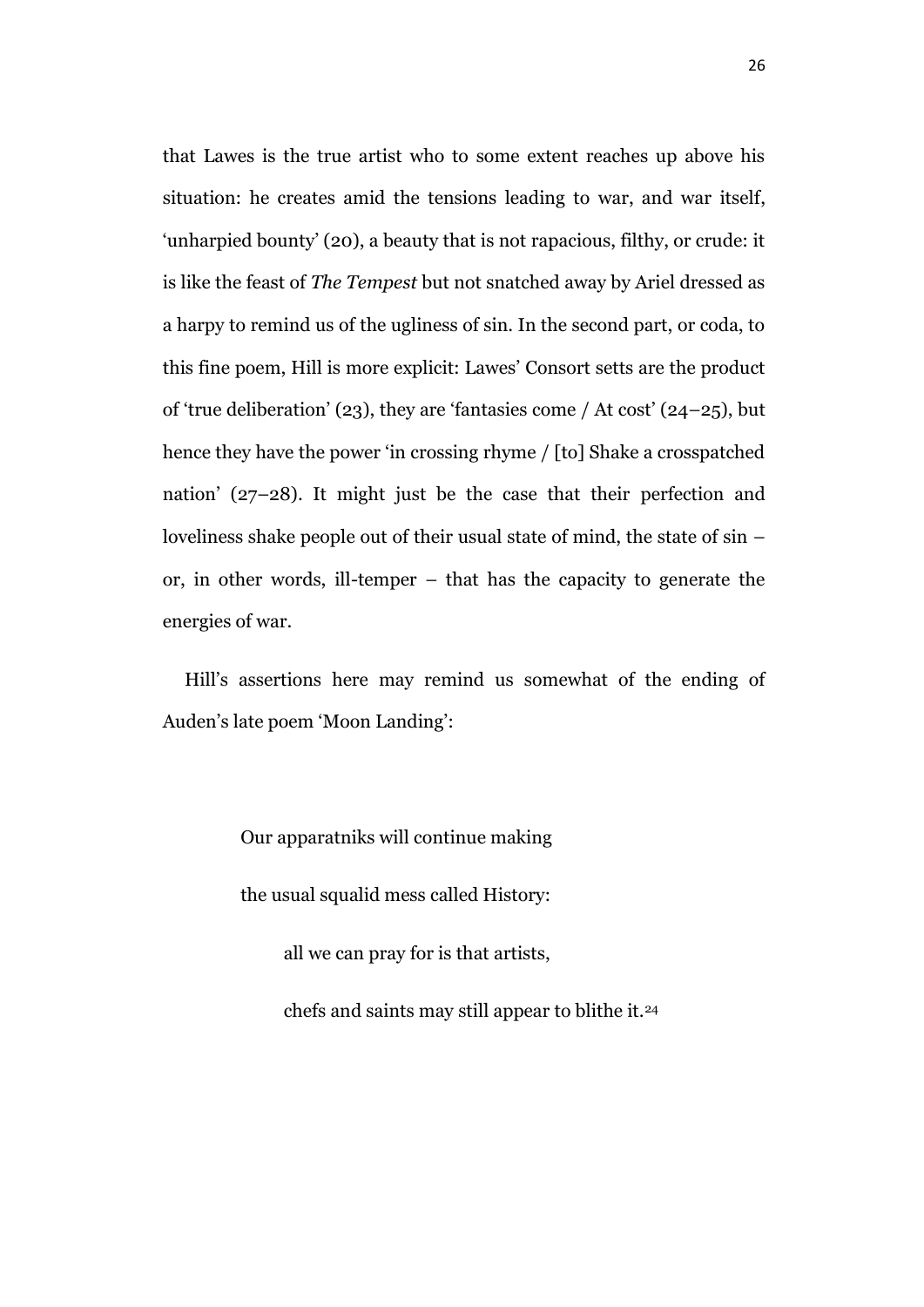that Lawes is the true artist who to some extent reaches up above his situation: he creates amid the tensions leading to war, and war itself, 'unharpied bounty' (20), a beauty that is not rapacious, filthy, or crude: it is like the feast of *The Tempest* but not snatched away by Ariel dressed as a harpy to remind us of the ugliness of sin. In the second part, or coda, to this fine poem, Hill is more explicit: Lawes' Consort setts are the product of 'true deliberation' (23), they are 'fantasies come / At cost' (24–25), but hence they have the power 'in crossing rhyme / [to] Shake a crosspatched nation' (27–28). It might just be the case that their perfection and loveliness shake people out of their usual state of mind, the state of sin – or, in other words, ill-temper – that has the capacity to generate the energies of war.

Hill's assertions here may remind us somewhat of the ending of Auden's late poem 'Moon Landing':

Our apparatniks will continue making

the usual squalid mess called History:

all we can pray for is that artists,

chefs and saints may still appear to blithe it.24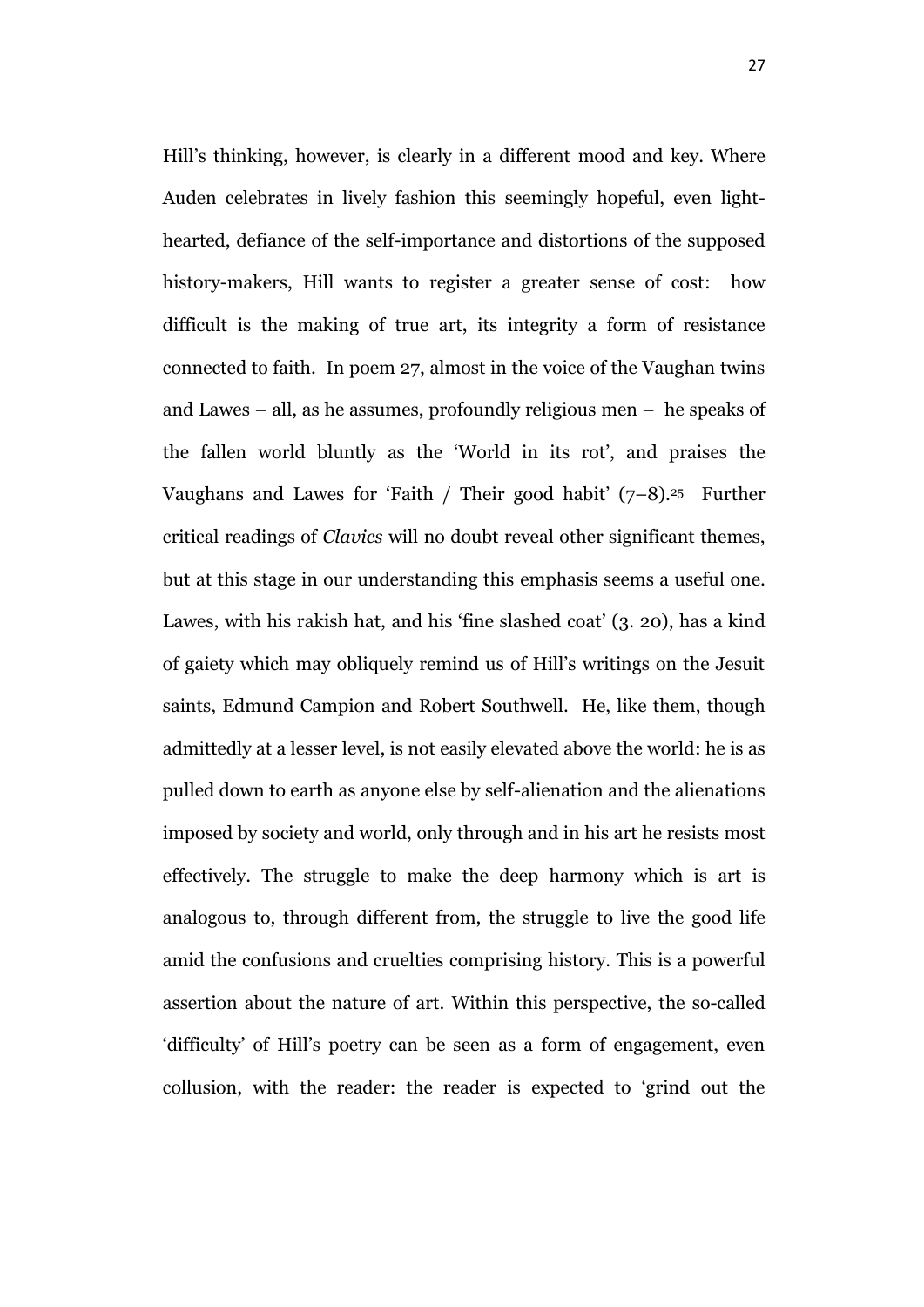Hill's thinking, however, is clearly in a different mood and key. Where Auden celebrates in lively fashion this seemingly hopeful, even lighthearted, defiance of the self-importance and distortions of the supposed history-makers, Hill wants to register a greater sense of cost: how difficult is the making of true art, its integrity a form of resistance connected to faith. In poem 27, almost in the voice of the Vaughan twins and Lawes – all, as he assumes, profoundly religious men – he speaks of the fallen world bluntly as the 'World in its rot', and praises the Vaughans and Lawes for 'Faith / Their good habit'  $(7-8)$ .<sup>25</sup> Further critical readings of *Clavics* will no doubt reveal other significant themes, but at this stage in our understanding this emphasis seems a useful one. Lawes, with his rakish hat, and his 'fine slashed coat' (3. 20), has a kind of gaiety which may obliquely remind us of Hill's writings on the Jesuit saints, Edmund Campion and Robert Southwell. He, like them, though admittedly at a lesser level, is not easily elevated above the world: he is as pulled down to earth as anyone else by self-alienation and the alienations imposed by society and world, only through and in his art he resists most effectively. The struggle to make the deep harmony which is art is analogous to, through different from, the struggle to live the good life amid the confusions and cruelties comprising history. This is a powerful assertion about the nature of art. Within this perspective, the so-called 'difficulty' of Hill's poetry can be seen as a form of engagement, even collusion, with the reader: the reader is expected to 'grind out the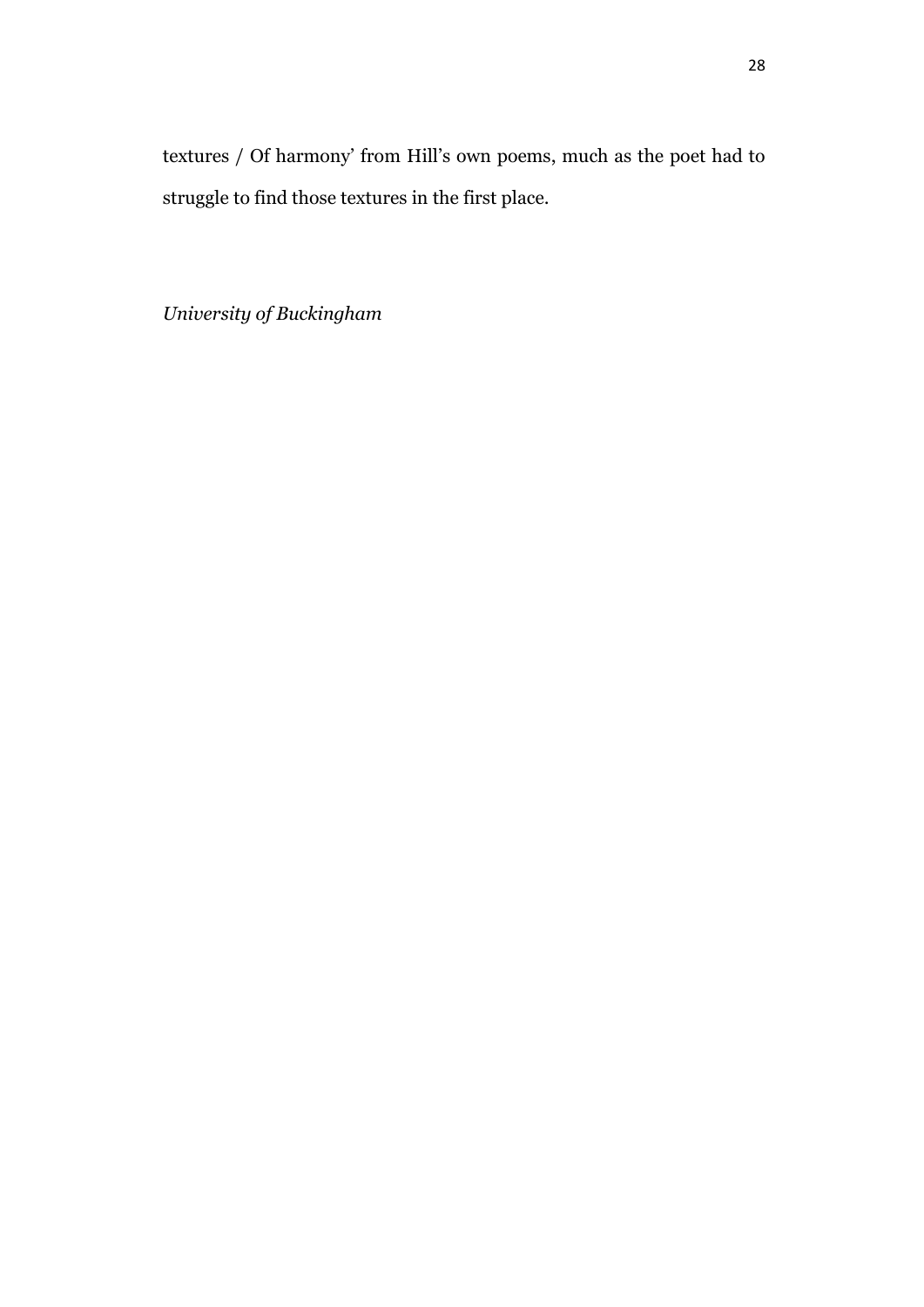*University of Buckingham*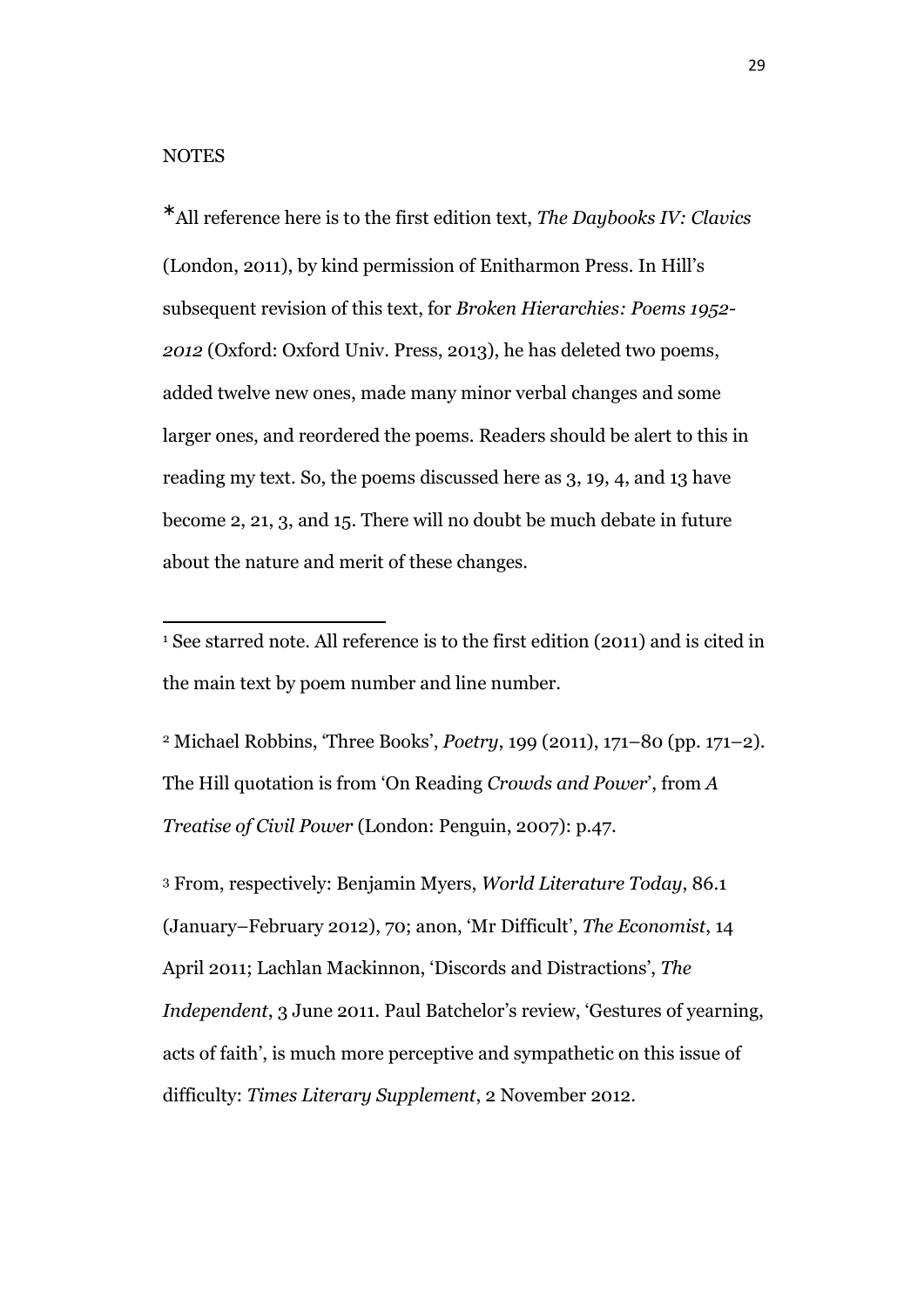$\overline{a}$ 

All reference here is to the first edition text, *The Daybooks IV: Clavics*  (London, 2011), by kind permission of Enitharmon Press. In Hill's subsequent revision of this text, for *Broken Hierarchies: Poems 1952- 2012* (Oxford: Oxford Univ. Press, 2013), he has deleted two poems, added twelve new ones, made many minor verbal changes and some larger ones, and reordered the poems. Readers should be alert to this in reading my text. So, the poems discussed here as 3, 19, 4, and 13 have become 2, 21, 3, and 15. There will no doubt be much debate in future about the nature and merit of these changes.

<sup>2</sup> Michael Robbins, 'Three Books', *Poetry*, 199 (2011), 171–80 (pp. 171–2). The Hill quotation is from 'On Reading *Crowds and Power*', from *A Treatise of Civil Power* (London: Penguin, 2007): p.47.

<sup>3</sup> From, respectively: Benjamin Myers, *World Literature Today*, 86.1 (January–February 2012), 70; anon, 'Mr Difficult', *The Economist*, 14 April 2011; Lachlan Mackinnon, 'Discords and Distractions', *The Independent*, 3 June 2011. Paul Batchelor's review, 'Gestures of yearning, acts of faith', is much more perceptive and sympathetic on this issue of difficulty: *Times Literary Supplement*, 2 November 2012.

<sup>1</sup> See starred note. All reference is to the first edition (2011) and is cited in the main text by poem number and line number.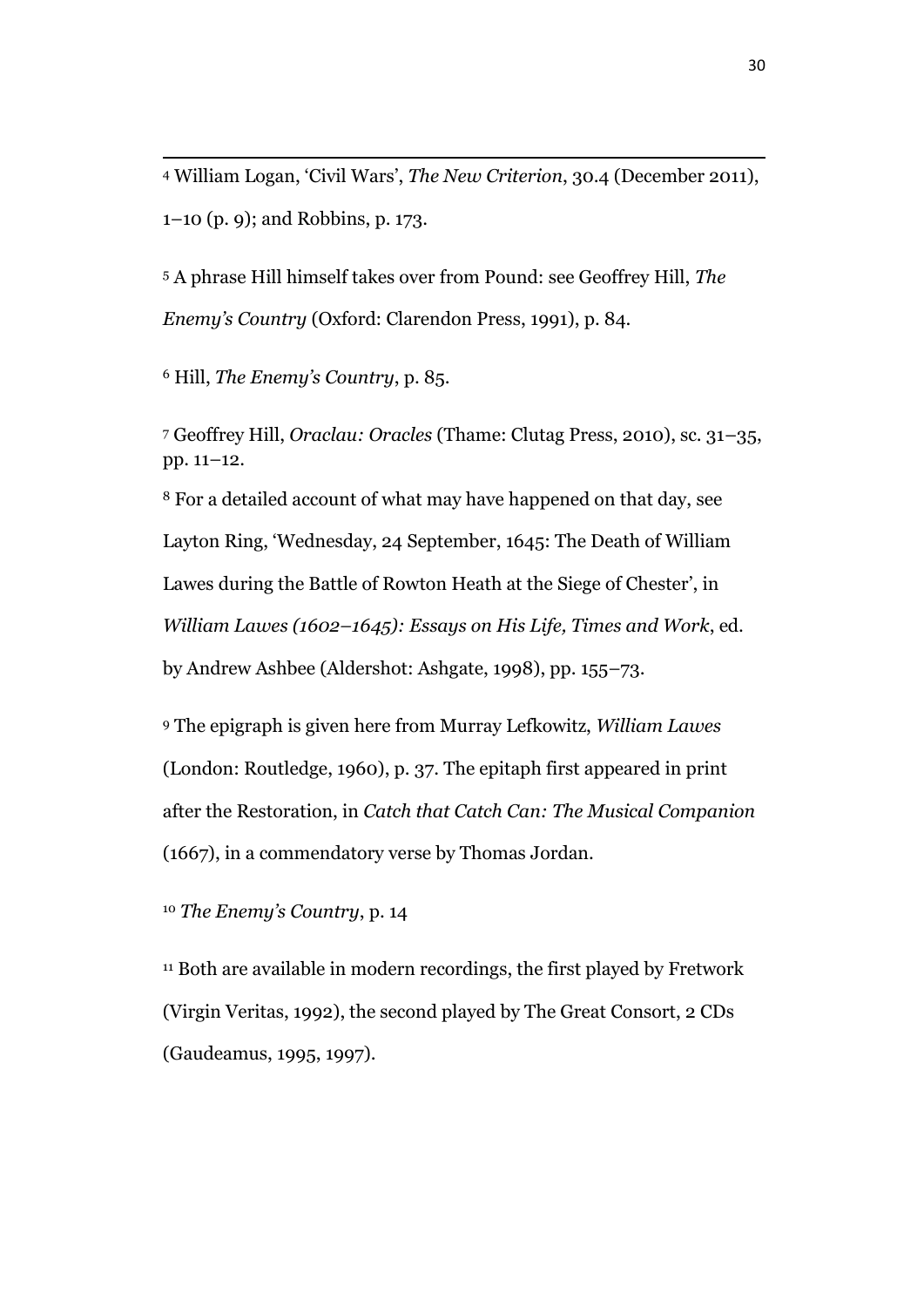<sup>4</sup> William Logan, 'Civil Wars', *The New Criterion*, 30.4 (December 2011), 1–10 (p. 9); and Robbins, p. 173.

<sup>5</sup> A phrase Hill himself takes over from Pound: see Geoffrey Hill, *The Enemy's Country* (Oxford: Clarendon Press, 1991), p. 84.

<sup>6</sup> Hill, *The Enemy's Country*, p. 85.

 $\overline{a}$ 

<sup>7</sup> Geoffrey Hill, *Oraclau: Oracles* (Thame: Clutag Press, 2010), sc. 31–35, pp. 11–12.

<sup>8</sup> For a detailed account of what may have happened on that day, see Layton Ring, 'Wednesday, 24 September, 1645: The Death of William Lawes during the Battle of Rowton Heath at the Siege of Chester', in *William Lawes (1602–1645): Essays on His Life, Times and Work*, ed. by Andrew Ashbee (Aldershot: Ashgate, 1998), pp. 155–73.

<sup>9</sup> The epigraph is given here from Murray Lefkowitz, *William Lawes* (London: Routledge, 1960), p. 37. The epitaph first appeared in print after the Restoration, in *Catch that Catch Can: The Musical Companion*  (1667), in a commendatory verse by Thomas Jordan.

<sup>10</sup> *The Enemy's Country*, p. 14

<sup>11</sup> Both are available in modern recordings, the first played by Fretwork (Virgin Veritas, 1992), the second played by The Great Consort, 2 CDs (Gaudeamus, 1995, 1997).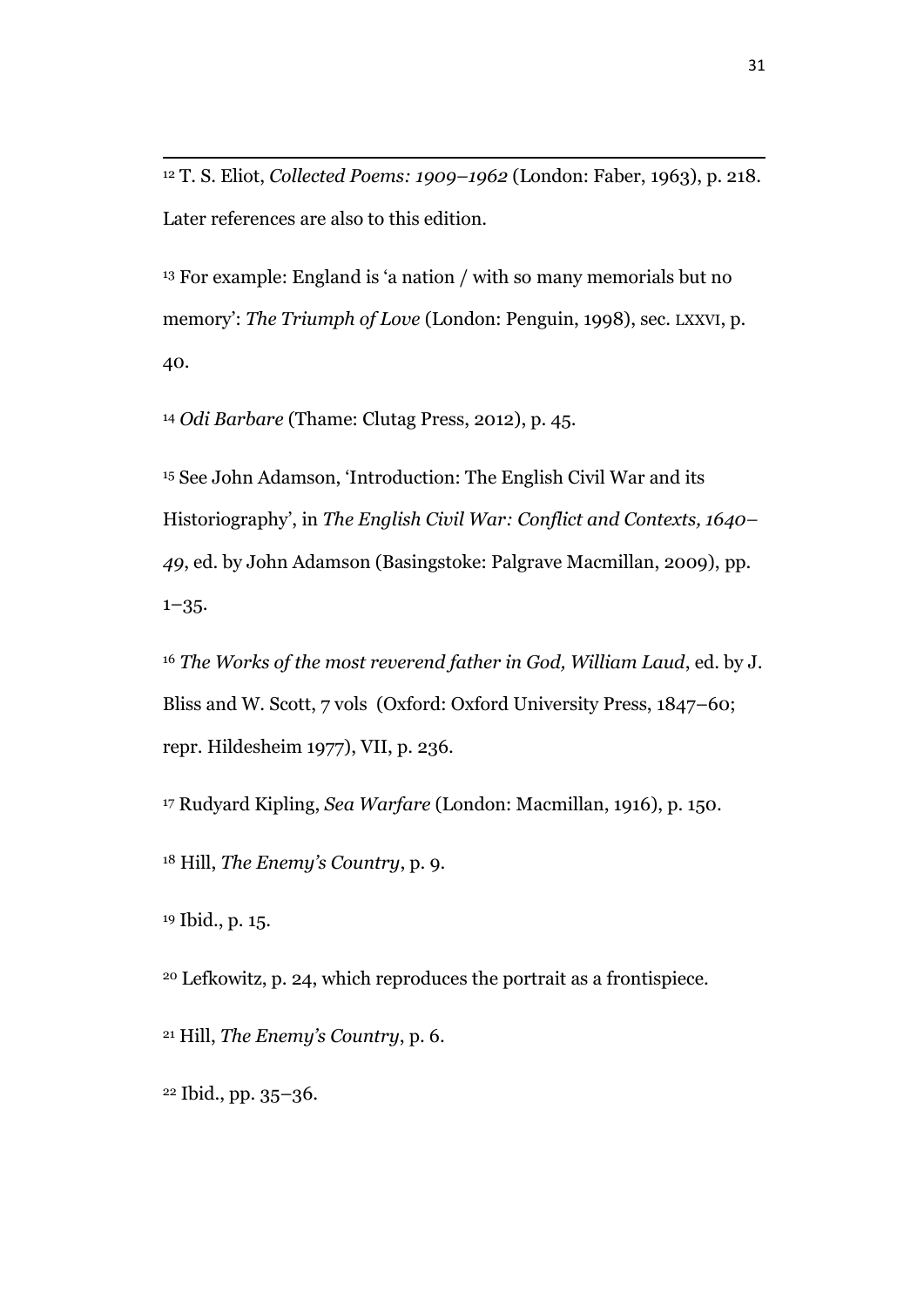T. S. Eliot, *Collected Poems: 1909–1962* (London: Faber, 1963), p. 218. Later references are also to this edition.

 For example: England is 'a nation / with so many memorials but no memory': *The Triumph of Love* (London: Penguin, 1998), sec. LXXVI, p. 40.

*Odi Barbare* (Thame: Clutag Press, 2012), p. 45.

 See John Adamson, 'Introduction: The English Civil War and its Historiography', in *The English Civil War: Conflict and Contexts, 1640–* , ed. by John Adamson (Basingstoke: Palgrave Macmillan, 2009), pp. –35.

 *The Works of the most reverend father in God, William Laud*, ed. by J. Bliss and W. Scott, 7 vols (Oxford: Oxford University Press, 1847–60; repr. Hildesheim 1977), VII, p. 236.

Rudyard Kipling, *Sea Warfare* (London: Macmillan, 1916), p. 150.

Hill, *The Enemy's Country*, p. 9.

Ibid., p. 15.

 $\overline{a}$ 

Lefkowitz, p. 24, which reproduces the portrait as a frontispiece.

Hill, *The Enemy's Country*, p. 6.

Ibid., pp. 35–36.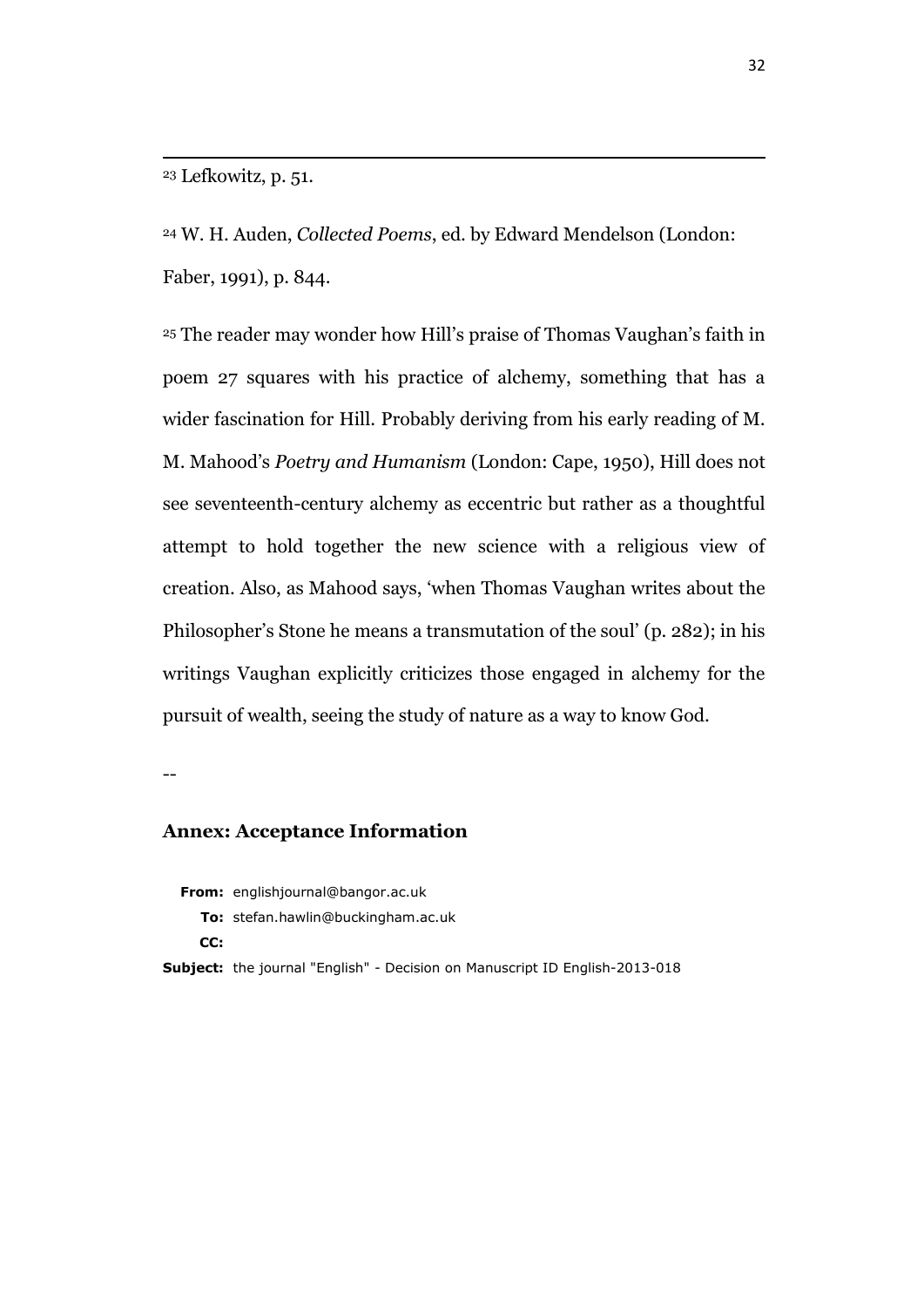<sup>23</sup> Lefkowitz, p. 51.

 $\overline{a}$ 

<sup>24</sup> W. H. Auden, *Collected Poems*, ed. by Edward Mendelson (London: Faber, 1991), p. 844.

<sup>25</sup> The reader may wonder how Hill's praise of Thomas Vaughan's faith in poem 27 squares with his practice of alchemy, something that has a wider fascination for Hill. Probably deriving from his early reading of M. M. Mahood's *Poetry and Humanism* (London: Cape, 1950), Hill does not see seventeenth-century alchemy as eccentric but rather as a thoughtful attempt to hold together the new science with a religious view of creation. Also, as Mahood says, 'when Thomas Vaughan writes about the Philosopher's Stone he means a transmutation of the soul' (p. 282); in his writings Vaughan explicitly criticizes those engaged in alchemy for the pursuit of wealth, seeing the study of nature as a way to know God.

--

#### **Annex: Acceptance Information**

**From:** englishjournal@bangor.ac.uk

**To:** stefan.hawlin@buckingham.ac.uk

**CC:**

**Subject:** the journal "English" - Decision on Manuscript ID English-2013-018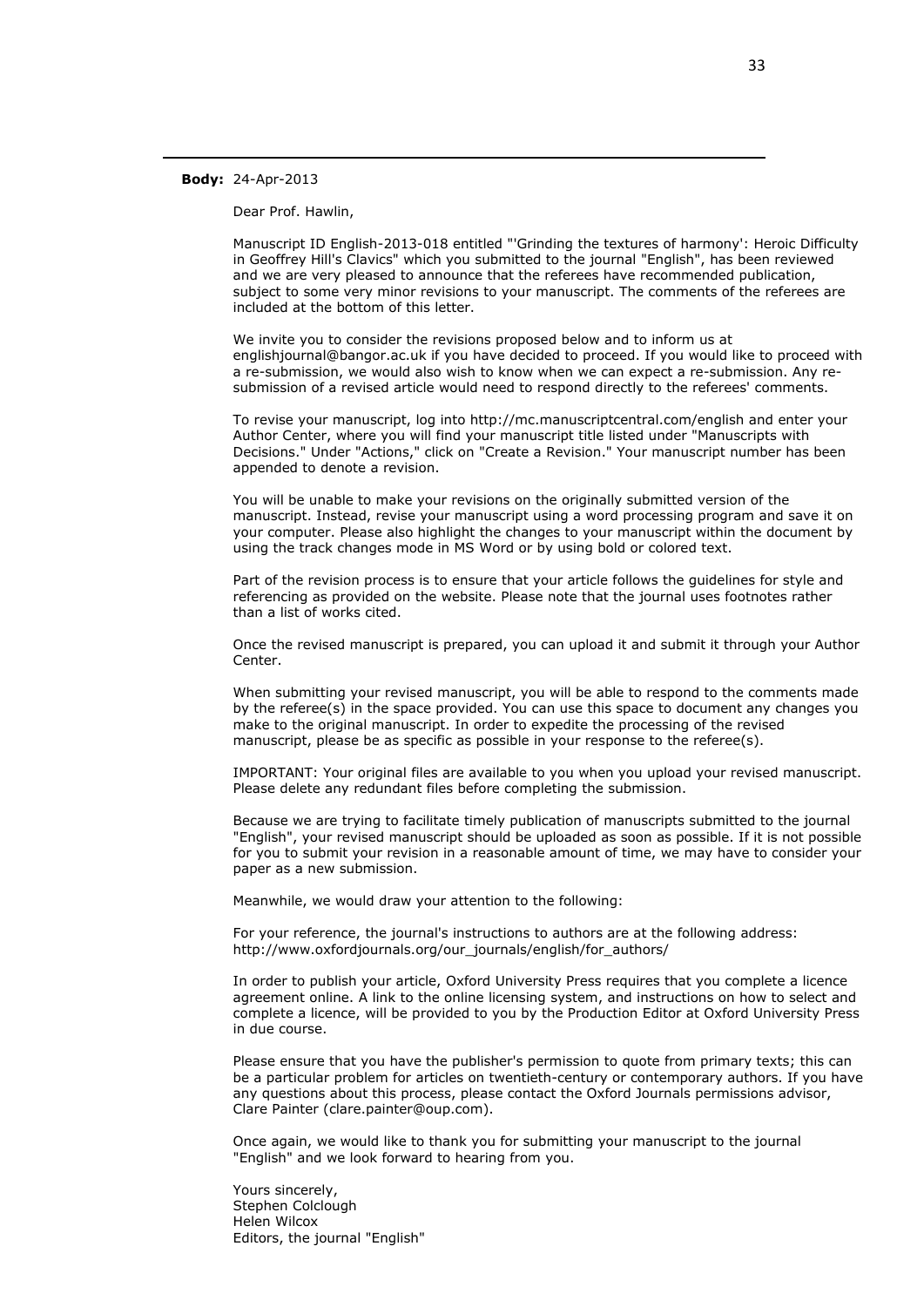#### **Body:** 24-Apr-2013

 $\overline{a}$ 

Dear Prof. Hawlin,

Manuscript ID English-2013-018 entitled "'Grinding the textures of harmony': Heroic Difficulty in Geoffrey Hill's Clavics" which you submitted to the journal "English", has been reviewed and we are very pleased to announce that the referees have recommended publication, subject to some very minor revisions to your manuscript. The comments of the referees are included at the bottom of this letter.

We invite you to consider the revisions proposed below and to inform us at englishjournal@bangor.ac.uk if you have decided to proceed. If you would like to proceed with a re-submission, we would also wish to know when we can expect a re-submission. Any resubmission of a revised article would need to respond directly to the referees' comments.

To revise your manuscript, log into http://mc.manuscriptcentral.com/english and enter your Author Center, where you will find your manuscript title listed under "Manuscripts with Decisions." Under "Actions," click on "Create a Revision." Your manuscript number has been appended to denote a revision.

You will be unable to make your revisions on the originally submitted version of the manuscript. Instead, revise your manuscript using a word processing program and save it on your computer. Please also highlight the changes to your manuscript within the document by using the track changes mode in MS Word or by using bold or colored text.

Part of the revision process is to ensure that your article follows the guidelines for style and referencing as provided on the website. Please note that the journal uses footnotes rather than a list of works cited.

Once the revised manuscript is prepared, you can upload it and submit it through your Author Center.

When submitting your revised manuscript, you will be able to respond to the comments made by the referee(s) in the space provided. You can use this space to document any changes you make to the original manuscript. In order to expedite the processing of the revised manuscript, please be as specific as possible in your response to the referee(s).

IMPORTANT: Your original files are available to you when you upload your revised manuscript. Please delete any redundant files before completing the submission.

Because we are trying to facilitate timely publication of manuscripts submitted to the journal "English", your revised manuscript should be uploaded as soon as possible. If it is not possible for you to submit your revision in a reasonable amount of time, we may have to consider your paper as a new submission.

Meanwhile, we would draw your attention to the following:

For your reference, the journal's instructions to authors are at the following address: http://www.oxfordjournals.org/our\_journals/english/for\_authors/

In order to publish your article, Oxford University Press requires that you complete a licence agreement online. A link to the online licensing system, and instructions on how to select and complete a licence, will be provided to you by the Production Editor at Oxford University Press in due course.

Please ensure that you have the publisher's permission to quote from primary texts; this can be a particular problem for articles on twentieth-century or contemporary authors. If you have any questions about this process, please contact the Oxford Journals permissions advisor, Clare Painter (clare.painter@oup.com).

Once again, we would like to thank you for submitting your manuscript to the journal "English" and we look forward to hearing from you.

Yours sincerely, Stephen Colclough Helen Wilcox Editors, the journal "English"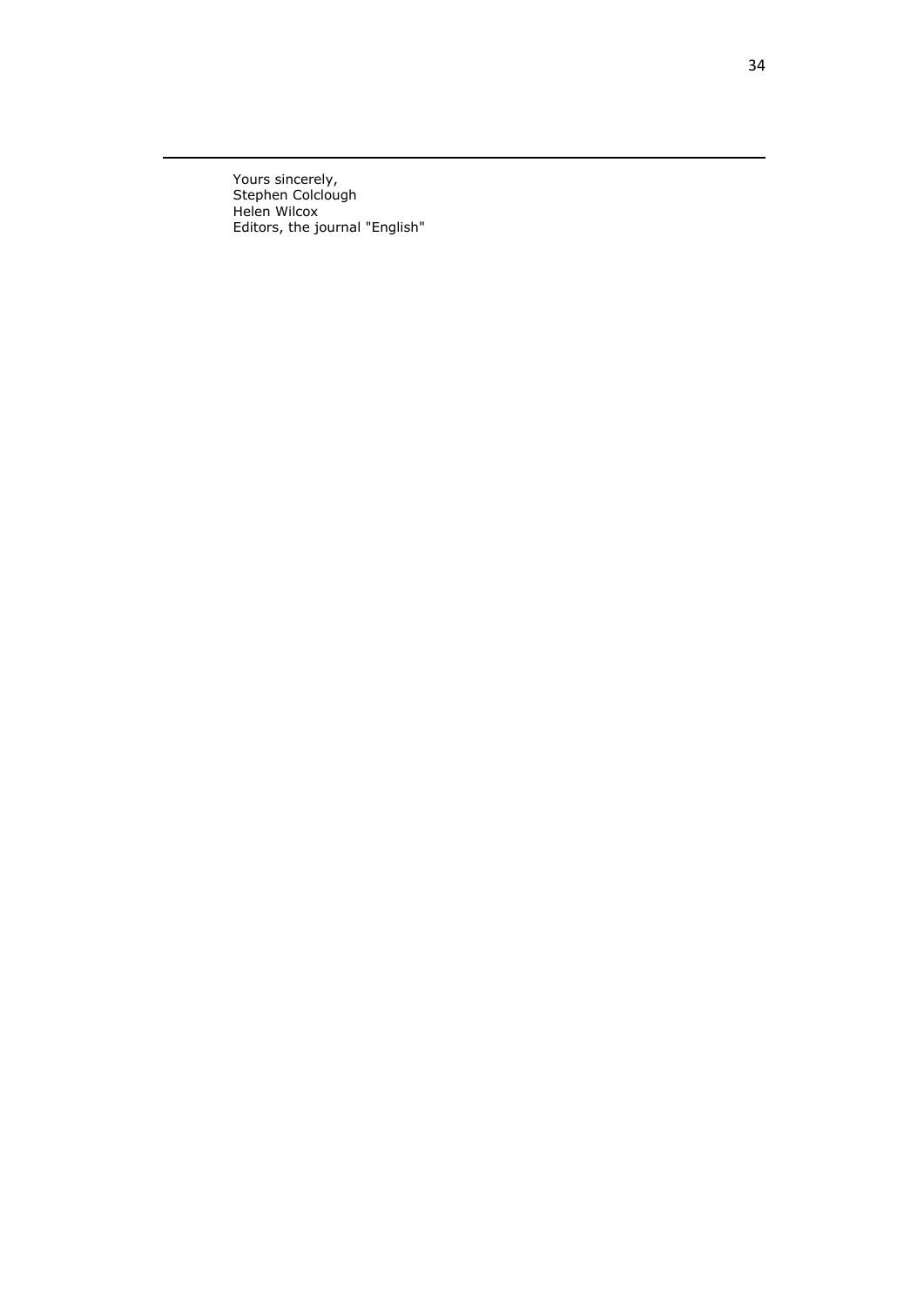Yours sincerely, Stephen Colclough Helen Wilcox Editors, the journal "English"

 $\overline{a}$